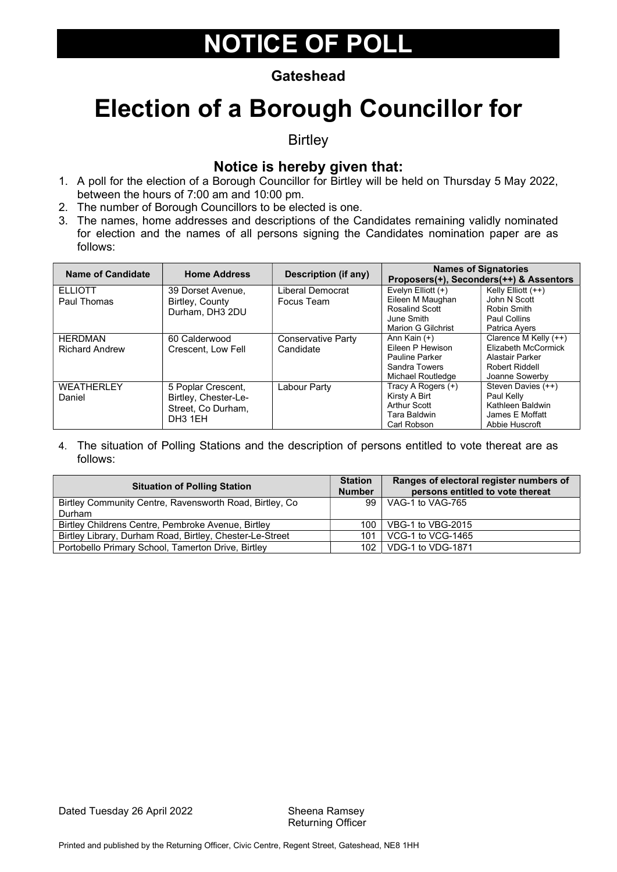#### **Gateshead**

### Election of a Borough Councillor for

**Birtley** 

#### Notice is hereby given that:

- 1. A poll for the election of a Borough Councillor for Birtley will be held on Thursday 5 May 2022, between the hours of 7:00 am and 10:00 pm.
- 2. The number of Borough Councillors to be elected is one.
- 3. The names, home addresses and descriptions of the Candidates remaining validly nominated for election and the names of all persons signing the Candidates nomination paper are as follows:

| <b>Name of Candidate</b>         | <b>Home Address</b>                                                                     | Description (if any)            |                                                                                                 | <b>Names of Signatories</b><br>Proposers(+), Seconders(++) & Assentors                              |
|----------------------------------|-----------------------------------------------------------------------------------------|---------------------------------|-------------------------------------------------------------------------------------------------|-----------------------------------------------------------------------------------------------------|
| <b>ELLIOTT</b><br>Paul Thomas    | 39 Dorset Avenue,<br>Birtley, County<br>Durham, DH3 2DU                                 | Liberal Democrat<br>Focus Team  | Evelyn Elliott $(+)$<br>Eileen M Maughan<br>Rosalind Scott<br>June Smith                        | Kelly Elliott (++)<br>John N Scott<br>Robin Smith<br>Paul Collins                                   |
|                                  |                                                                                         |                                 | Marion G Gilchrist                                                                              | Patrica Ayers                                                                                       |
| HERDMAN<br><b>Richard Andrew</b> | 60 Calderwood<br>Crescent, Low Fell                                                     | Conservative Party<br>Candidate | Ann Kain (+)<br>Eileen P Hewison<br><b>Pauline Parker</b><br>Sandra Towers<br>Michael Routledge | Clarence M Kelly (++)<br>Elizabeth McCormick<br>Alastair Parker<br>Robert Riddell<br>Joanne Sowerby |
| <b>WEATHERLEY</b><br>Daniel      | 5 Poplar Crescent,<br>Birtley, Chester-Le-<br>Street. Co Durham.<br>DH <sub>3</sub> 1EH | Labour Party                    | Tracy A Rogers (+)<br>Kirsty A Birt<br>Arthur Scott<br>Tara Baldwin<br>Carl Robson              | Steven Davies (++)<br>Paul Kelly<br>Kathleen Baldwin<br>James E Moffatt<br>Abbie Huscroft           |

| <b>Situation of Polling Station</b>                                |                 | Ranges of electoral register numbers of<br>persons entitled to vote thereat |
|--------------------------------------------------------------------|-----------------|-----------------------------------------------------------------------------|
| Birtley Community Centre, Ravensworth Road, Birtley, Co.<br>Durham | 99              | VAG-1 to VAG-765                                                            |
| Birtley Childrens Centre, Pembroke Avenue, Birtley                 | 100             | VBG-1 to VBG-2015                                                           |
| Birtley Library, Durham Road, Birtley, Chester-Le-Street           | 101             | VCG-1 to VCG-1465                                                           |
| Portobello Primary School, Tamerton Drive, Birtley                 | 10 <sub>2</sub> | VDG-1 to VDG-1871                                                           |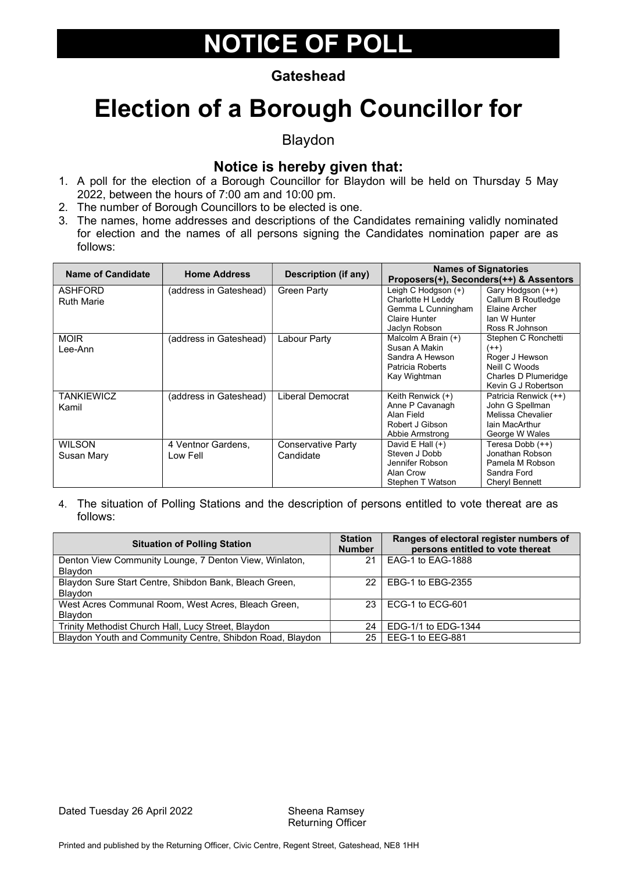#### **Gateshead**

### Election of a Borough Councillor for

Blaydon

#### Notice is hereby given that:

- 1. A poll for the election of a Borough Councillor for Blaydon will be held on Thursday 5 May 2022, between the hours of 7:00 am and 10:00 pm.
- 2. The number of Borough Councillors to be elected is one.
- 3. The names, home addresses and descriptions of the Candidates remaining validly nominated for election and the names of all persons signing the Candidates nomination paper are as follows:

| <b>Name of Candidate</b> | <b>Home Address</b>    | Description (if any) |                     | <b>Names of Signatories</b><br>Proposers(+), Seconders(++) & Assentors |
|--------------------------|------------------------|----------------------|---------------------|------------------------------------------------------------------------|
| ASHFORD                  | (address in Gateshead) | <b>Green Party</b>   | Leigh C Hodgson (+) | Gary Hodgson (++)                                                      |
| <b>Ruth Marie</b>        |                        |                      | Charlotte H Leddy   | Callum B Routledge                                                     |
|                          |                        |                      | Gemma L Cunningham  | Elaine Archer                                                          |
|                          |                        |                      | Claire Hunter       | lan W Hunter                                                           |
|                          |                        |                      | Jaclyn Robson       | Ross R Johnson                                                         |
| <b>MOIR</b>              | (address in Gateshead) | Labour Party         | Malcolm A Brain (+) | Stephen C Ronchetti                                                    |
| Lee-Ann                  |                        |                      | Susan A Makin       | $(++)$                                                                 |
|                          |                        |                      | Sandra A Hewson     | Roger J Hewson                                                         |
|                          |                        |                      | Patricia Roberts    | Neill C Woods                                                          |
|                          |                        |                      | Kay Wightman        | Charles D Plumeridge                                                   |
|                          |                        |                      |                     | Kevin G J Robertson                                                    |
| <b>TANKIEWICZ</b>        | (address in Gateshead) | Liberal Democrat     | Keith Renwick (+)   | Patricia Renwick (++)                                                  |
| Kamil                    |                        |                      | Anne P Cavanagh     | John G Spellman                                                        |
|                          |                        |                      | Alan Field          | Melissa Chevalier                                                      |
|                          |                        |                      | Robert J Gibson     | lain MacArthur                                                         |
|                          |                        |                      | Abbie Armstrong     | George W Wales                                                         |
| <b>WILSON</b>            | 4 Ventnor Gardens,     | Conservative Party   | David E Hall $(+)$  | Teresa Dobb (++)                                                       |
| Susan Mary               | Low Fell               | Candidate            | Steven J Dobb       | Jonathan Robson                                                        |
|                          |                        |                      | Jennifer Robson     | Pamela M Robson                                                        |
|                          |                        |                      | Alan Crow           | Sandra Ford                                                            |
|                          |                        |                      | Stephen T Watson    | Cheryl Bennett                                                         |

| <b>Situation of Polling Station</b>                       | <b>Station</b><br><b>Number</b> | Ranges of electoral register numbers of<br>persons entitled to vote thereat |
|-----------------------------------------------------------|---------------------------------|-----------------------------------------------------------------------------|
| Denton View Community Lounge, 7 Denton View, Winlaton,    | 21                              | EAG-1 to EAG-1888                                                           |
| <b>Blaydon</b>                                            |                                 |                                                                             |
| Blaydon Sure Start Centre, Shibdon Bank, Bleach Green,    | 22.                             | EBG-1 to EBG-2355                                                           |
| <b>Blavdon</b>                                            |                                 |                                                                             |
| West Acres Communal Room, West Acres, Bleach Green,       | 23.                             | ECG-1 to ECG-601                                                            |
| <b>Blaydon</b>                                            |                                 |                                                                             |
| Trinity Methodist Church Hall, Lucy Street, Blaydon       | 24                              | EDG-1/1 to EDG-1344                                                         |
| Blaydon Youth and Community Centre, Shibdon Road, Blaydon | 25                              | EEG-1 to EEG-881                                                            |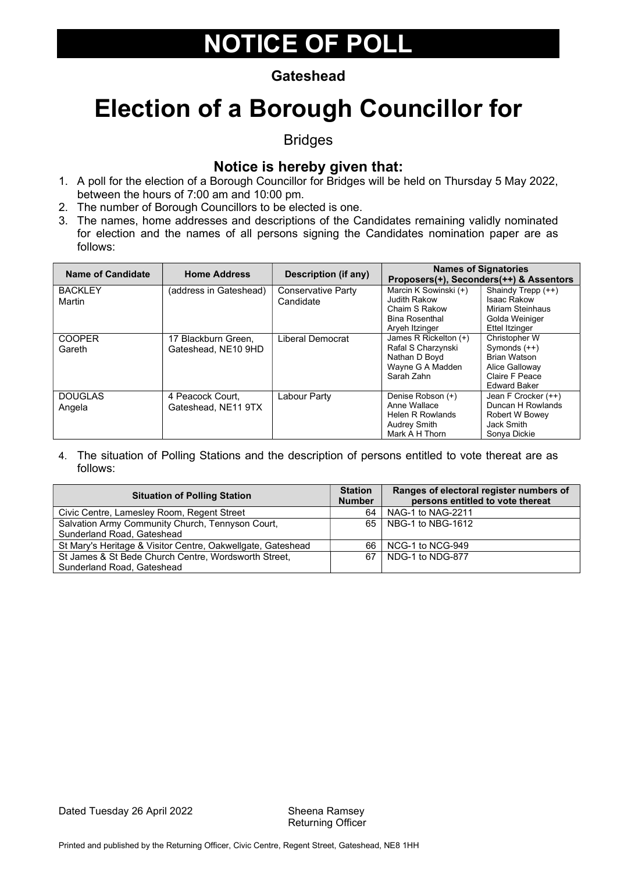#### **Gateshead**

### Election of a Borough Councillor for

Bridges

#### Notice is hereby given that:

- 1. A poll for the election of a Borough Councillor for Bridges will be held on Thursday 5 May 2022, between the hours of 7:00 am and 10:00 pm.
- 2. The number of Borough Councillors to be elected is one.
- 3. The names, home addresses and descriptions of the Candidates remaining validly nominated for election and the names of all persons signing the Candidates nomination paper are as follows:

| <b>Name of Candidate</b> | <b>Home Address</b>                        | Description (if any)                   |                                                                                                | <b>Names of Signatories</b><br>Proposers(+), Seconders(++) & Assentors                                            |
|--------------------------|--------------------------------------------|----------------------------------------|------------------------------------------------------------------------------------------------|-------------------------------------------------------------------------------------------------------------------|
| <b>BACKLEY</b><br>Martin | (address in Gateshead)                     | <b>Conservative Party</b><br>Candidate | Marcin K Sowinski (+)<br>Judith Rakow<br>Chaim S Rakow                                         | Shaindy Trepp (++)<br><b>Isaac Rakow</b><br>Miriam Steinhaus                                                      |
|                          |                                            |                                        | <b>Bina Rosenthal</b><br>Aryeh Itzinger                                                        | Golda Weiniger<br><b>Ettel Itzinger</b>                                                                           |
| <b>COOPER</b><br>Gareth  | 17 Blackburn Green,<br>Gateshead, NE10 9HD | Liberal Democrat                       | James R Rickelton (+)<br>Rafal S Charzynski<br>Nathan D Boyd<br>Wayne G A Madden<br>Sarah Zahn | Christopher W<br>Symonds $(++)$<br><b>Brian Watson</b><br>Alice Galloway<br>Claire F Peace<br><b>Edward Baker</b> |
| <b>DOUGLAS</b><br>Angela | 4 Peacock Court.<br>Gateshead, NE11 9TX    | Labour Party                           | Denise Robson (+)<br>Anne Wallace<br>Helen R Rowlands<br><b>Audrey Smith</b><br>Mark A H Thorn | Jean F Crocker (++)<br>Duncan H Rowlands<br>Robert W Bowey<br>Jack Smith<br>Sonya Dickie                          |

| <b>Situation of Polling Station</b>                         | <b>Station</b><br><b>Number</b> | Ranges of electoral register numbers of<br>persons entitled to vote thereat |
|-------------------------------------------------------------|---------------------------------|-----------------------------------------------------------------------------|
| Civic Centre, Lamesley Room, Regent Street                  | 64                              | NAG-1 to NAG-2211                                                           |
| Salvation Army Community Church, Tennyson Court,            | 65 I                            | NBG-1 to NBG-1612                                                           |
| Sunderland Road, Gateshead                                  |                                 |                                                                             |
| St Mary's Heritage & Visitor Centre, Oakwellgate, Gateshead | 66                              | NCG-1 to NCG-949                                                            |
| St James & St Bede Church Centre, Wordsworth Street,        | 67                              | NDG-1 to NDG-877                                                            |
| Sunderland Road, Gateshead                                  |                                 |                                                                             |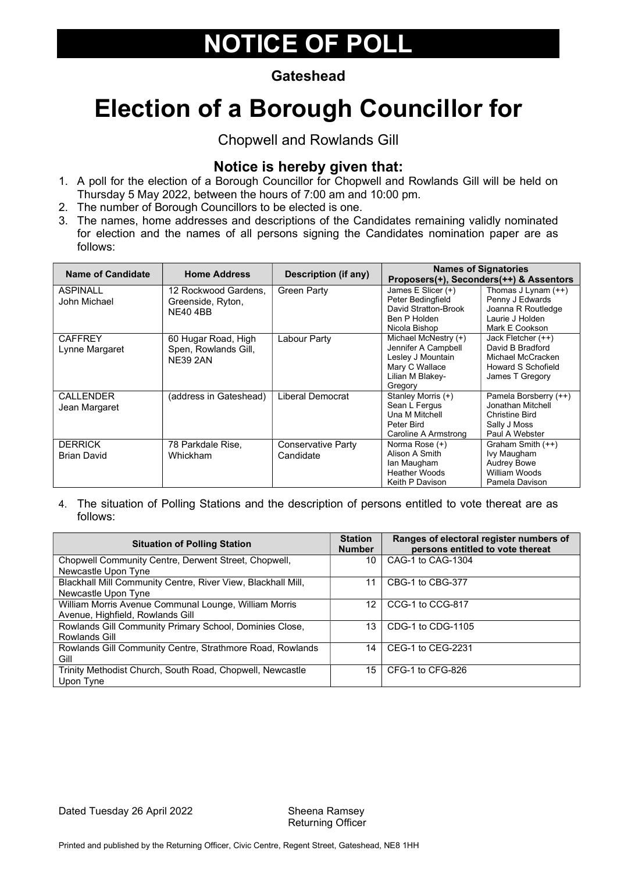#### **Gateshead**

# Election of a Borough Councillor for

Chopwell and Rowlands Gill

#### Notice is hereby given that:

- 1. A poll for the election of a Borough Councillor for Chopwell and Rowlands Gill will be held on Thursday 5 May 2022, between the hours of 7:00 am and 10:00 pm.
- 2. The number of Borough Councillors to be elected is one.
- 3. The names, home addresses and descriptions of the Candidates remaining validly nominated for election and the names of all persons signing the Candidates nomination paper are as follows:

| <b>Name of Candidate</b> | <b>Home Address</b>    | Description (if any) |                      | <b>Names of Signatories</b><br>Proposers(+), Seconders(++) & Assentors |
|--------------------------|------------------------|----------------------|----------------------|------------------------------------------------------------------------|
| <b>ASPINALL</b>          | 12 Rockwood Gardens.   | <b>Green Party</b>   | James E Slicer (+)   | Thomas J Lynam $(++)$                                                  |
| John Michael             | Greenside, Ryton,      |                      | Peter Bedingfield    | Penny J Edwards                                                        |
|                          | <b>NE40 4BB</b>        |                      | David Stratton-Brook | Joanna R Routledge                                                     |
|                          |                        |                      | Ben P Holden         | Laurie J Holden                                                        |
|                          |                        |                      | Nicola Bishop        | Mark E Cookson                                                         |
| <b>CAFFREY</b>           | 60 Hugar Road, High    | Labour Party         | Michael McNestry (+) | Jack Fletcher (++)                                                     |
| Lynne Margaret           | Spen, Rowlands Gill,   |                      | Jennifer A Campbell  | David B Bradford                                                       |
|                          | <b>NE39 2AN</b>        |                      | Lesley J Mountain    | Michael McCracken                                                      |
|                          |                        |                      | Mary C Wallace       | Howard S Schofield                                                     |
|                          |                        |                      | Lilian M Blakey-     | James T Gregory                                                        |
|                          |                        |                      | Gregory              |                                                                        |
| CALL FNDER               | (address in Gateshead) | Liberal Democrat     | Stanley Morris (+)   | Pamela Borsberry (++)                                                  |
| Jean Margaret            |                        |                      | Sean L Fergus        | Jonathan Mitchell                                                      |
|                          |                        |                      | Una M Mitchell       | <b>Christine Bird</b>                                                  |
|                          |                        |                      | Peter Bird           | Sally J Moss                                                           |
|                          |                        |                      | Caroline A Armstrong | Paul A Webster                                                         |
| <b>DERRICK</b>           | 78 Parkdale Rise.      | Conservative Party   | Norma Rose (+)       | Graham Smith (++)                                                      |
| <b>Brian David</b>       | Whickham               | Candidate            | Alison A Smith       | Ivy Maugham                                                            |
|                          |                        |                      | lan Maugham          | <b>Audrey Bowe</b>                                                     |
|                          |                        |                      | <b>Heather Woods</b> | William Woods                                                          |
|                          |                        |                      | Keith P Davison      | Pamela Davison                                                         |

| <b>Situation of Polling Station</b>                          |    | Ranges of electoral register numbers of<br>persons entitled to vote thereat |
|--------------------------------------------------------------|----|-----------------------------------------------------------------------------|
| Chopwell Community Centre, Derwent Street, Chopwell,         | 10 | CAG-1 to CAG-1304                                                           |
| Newcastle Upon Tyne                                          |    |                                                                             |
| Blackhall Mill Community Centre, River View, Blackhall Mill, | 11 | CBG-1 to CBG-377                                                            |
| Newcastle Upon Tyne                                          |    |                                                                             |
| William Morris Avenue Communal Lounge, William Morris        | 12 | CCG-1 to CCG-817                                                            |
| Avenue, Highfield, Rowlands Gill                             |    |                                                                             |
| Rowlands Gill Community Primary School, Dominies Close,      | 13 | CDG-1 to CDG-1105                                                           |
| Rowlands Gill                                                |    |                                                                             |
| Rowlands Gill Community Centre, Strathmore Road, Rowlands    | 14 | CEG-1 to CEG-2231                                                           |
| Gill                                                         |    |                                                                             |
| Trinity Methodist Church, South Road, Chopwell, Newcastle    | 15 | CFG-1 to CFG-826                                                            |
| Upon Tyne                                                    |    |                                                                             |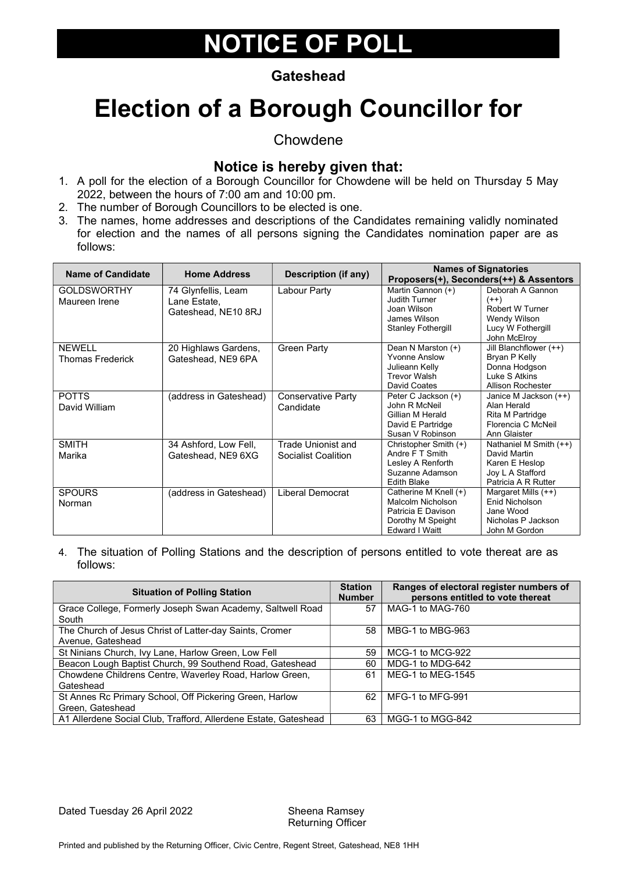#### **Gateshead**

# Election of a Borough Councillor for

Chowdene

#### Notice is hereby given that:

- 1. A poll for the election of a Borough Councillor for Chowdene will be held on Thursday 5 May 2022, between the hours of 7:00 am and 10:00 pm.
- 2. The number of Borough Councillors to be elected is one.
- 3. The names, home addresses and descriptions of the Candidates remaining validly nominated for election and the names of all persons signing the Candidates nomination paper are as follows:

| Name of Candidate                        | <b>Home Address</b>                                        | <b>Description (if any)</b>                             |                                                                                                                | <b>Names of Signatories</b><br>Proposers(+), Seconders(++) & Assentors                              |
|------------------------------------------|------------------------------------------------------------|---------------------------------------------------------|----------------------------------------------------------------------------------------------------------------|-----------------------------------------------------------------------------------------------------|
| <b>GOLDSWORTHY</b><br>Maureen Irene      | 74 Glynfellis, Leam<br>Lane Estate,<br>Gateshead, NE10 8RJ | Labour Party                                            | Martin Gannon (+)<br>Judith Turner<br>Joan Wilson<br>James Wilson<br><b>Stanley Fothergill</b>                 | Deborah A Gannon<br>$(++)$<br>Robert W Turner<br>Wendy Wilson<br>Lucy W Fothergill<br>John McElroy  |
| <b>NEWELL</b><br><b>Thomas Frederick</b> | 20 Highlaws Gardens,<br>Gateshead, NE9 6PA                 | <b>Green Party</b>                                      | Dean N Marston (+)<br><b>Yvonne Anslow</b><br>Julieann Kelly<br><b>Trevor Walsh</b><br>David Coates            | Jill Blanchflower (++)<br>Bryan P Kelly<br>Donna Hodgson<br>Luke S Atkins<br>Allison Rochester      |
| <b>POTTS</b><br>David William            | (address in Gateshead)                                     | Conservative Party<br>Candidate                         | Peter C Jackson (+)<br>John R McNeil<br>Gillian M Herald<br>David E Partridge<br>Susan V Robinson              | Janice M Jackson (++)<br>Alan Herald<br>Rita M Partridge<br>Florencia C McNeil<br>Ann Glaister      |
| <b>SMITH</b><br>Marika                   | 34 Ashford, Low Fell,<br>Gateshead, NE9 6XG                | <b>Trade Unionist and</b><br><b>Socialist Coalition</b> | Christopher Smith (+)<br>Andre F T Smith<br>Lesley A Renforth<br>Suzanne Adamson<br><b>Edith Blake</b>         | Nathaniel M Smith (++)<br>David Martin<br>Karen E Heslop<br>Joy L A Stafford<br>Patricia A R Rutter |
| <b>SPOURS</b><br>Norman                  | (address in Gateshead)                                     | Liberal Democrat                                        | Catherine M Knell (+)<br>Malcolm Nicholson<br>Patricia E Davison<br>Dorothy M Speight<br><b>Edward I Waitt</b> | Margaret Mills (++)<br><b>Fnid Nicholson</b><br>Jane Wood<br>Nicholas P Jackson<br>John M Gordon    |

4. The situation of Polling Stations and the description of persons entitled to vote thereat are as follows:

| <b>Situation of Polling Station</b>                             | <b>Station</b><br><b>Number</b> | Ranges of electoral register numbers of<br>persons entitled to vote thereat |
|-----------------------------------------------------------------|---------------------------------|-----------------------------------------------------------------------------|
| Grace College, Formerly Joseph Swan Academy, Saltwell Road      | 57                              | MAG-1 to MAG-760                                                            |
| South                                                           |                                 |                                                                             |
| The Church of Jesus Christ of Latter-day Saints, Cromer         | 58                              | MBG-1 to MBG-963                                                            |
| Avenue, Gateshead                                               |                                 |                                                                             |
| St Ninians Church, Ivy Lane, Harlow Green, Low Fell             | 59                              | MCG-1 to MCG-922                                                            |
| Beacon Lough Baptist Church, 99 Southend Road, Gateshead        | 60                              | MDG-1 to MDG-642                                                            |
| Chowdene Childrens Centre, Waverley Road, Harlow Green,         | 61                              | MEG-1 to MEG-1545                                                           |
| Gateshead                                                       |                                 |                                                                             |
| St Annes Rc Primary School, Off Pickering Green, Harlow         | 62                              | MFG-1 to MFG-991                                                            |
| Green, Gateshead                                                |                                 |                                                                             |
| A1 Allerdene Social Club, Trafford, Allerdene Estate, Gateshead | 63                              | MGG-1 to MGG-842                                                            |

Dated Tuesday 26 April 2022 Sheena Ramsey

Returning Officer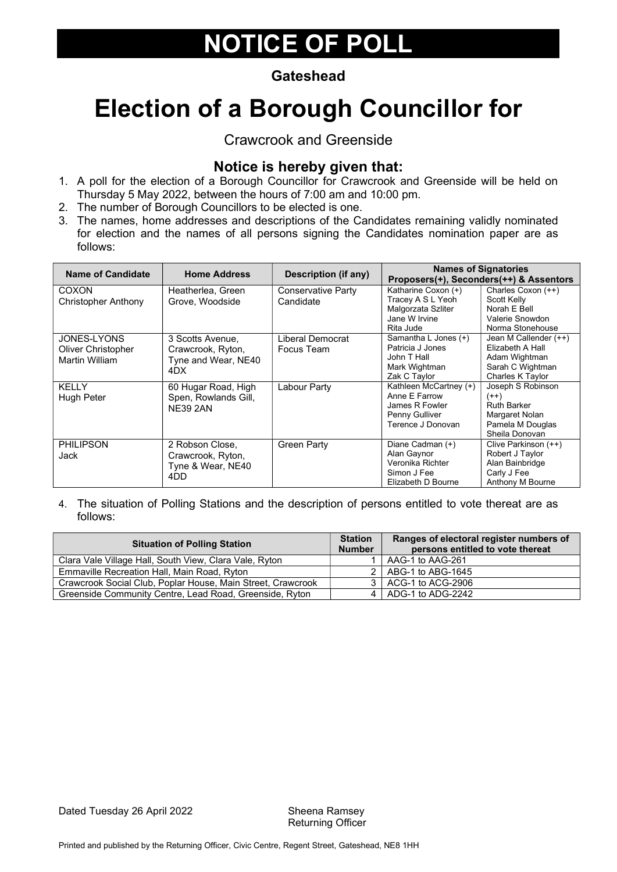#### **Gateshead**

# Election of a Borough Councillor for

Crawcrook and Greenside

#### Notice is hereby given that:

- 1. A poll for the election of a Borough Councillor for Crawcrook and Greenside will be held on Thursday 5 May 2022, between the hours of 7:00 am and 10:00 pm.
- 2. The number of Borough Councillors to be elected is one.
- 3. The names, home addresses and descriptions of the Candidates remaining validly nominated for election and the names of all persons signing the Candidates nomination paper are as follows:

| <b>Name of Candidate</b> | <b>Home Address</b>  | Description (if any)      |                        | <b>Names of Signatories</b><br>Proposers(+), Seconders(++) & Assentors |
|--------------------------|----------------------|---------------------------|------------------------|------------------------------------------------------------------------|
| <b>COXON</b>             | Heatherlea, Green    | <b>Conservative Party</b> | Katharine Coxon (+)    | Charles Coxon (++)                                                     |
| Christopher Anthony      | Grove, Woodside      | Candidate                 | Tracey A S L Yeoh      | Scott Kelly                                                            |
|                          |                      |                           | Malgorzata Szliter     | Norah E Bell                                                           |
|                          |                      |                           | Jane W Irvine          | Valerie Snowdon                                                        |
|                          |                      |                           | Rita Jude              | Norma Stonehouse                                                       |
| JONES-LYONS              | 3 Scotts Avenue.     | Liberal Democrat          | Samantha L Jones (+)   | Jean M Callender (++)                                                  |
| Oliver Christopher       | Crawcrook, Ryton,    | Focus Team                | Patricia J Jones       | Elizabeth A Hall                                                       |
| Martin William           | Tyne and Wear, NE40  |                           | John T Hall            | Adam Wightman                                                          |
|                          | 4DX.                 |                           | Mark Wightman          | Sarah C Wightman                                                       |
|                          |                      |                           | Zak C Taylor           | Charles K Taylor                                                       |
| <b>KELLY</b>             | 60 Hugar Road, High  | Labour Party              | Kathleen McCartney (+) | Joseph S Robinson                                                      |
| Hugh Peter               | Spen, Rowlands Gill, |                           | Anne E Farrow          | $(++)$                                                                 |
|                          | <b>NE39 2AN</b>      |                           | James R Fowler         | <b>Ruth Barker</b>                                                     |
|                          |                      |                           | Penny Gulliver         | Margaret Nolan                                                         |
|                          |                      |                           | Terence J Donovan      | Pamela M Douglas                                                       |
|                          |                      |                           |                        | Sheila Donovan                                                         |
| <b>PHILIPSON</b>         | 2 Robson Close,      | <b>Green Party</b>        | Diane Cadman (+)       | Clive Parkinson (++)                                                   |
| Jack                     | Crawcrook, Ryton,    |                           | Alan Gaynor            | Robert J Taylor                                                        |
|                          | Tyne & Wear, NE40    |                           | Veronika Richter       | Alan Bainbridge                                                        |
|                          | 4DD                  |                           | Simon J Fee            | Carly J Fee                                                            |
|                          |                      |                           | Elizabeth D Bourne     | Anthony M Bourne                                                       |

| <b>Situation of Polling Station</b>                         |  | Ranges of electoral register numbers of<br>persons entitled to vote thereat |
|-------------------------------------------------------------|--|-----------------------------------------------------------------------------|
| Clara Vale Village Hall, South View, Clara Vale, Ryton      |  | AAG-1 to AAG-261                                                            |
| Emmaville Recreation Hall, Main Road, Ryton                 |  | 2   ABG-1 to ABG-1645                                                       |
| Crawcrook Social Club, Poplar House, Main Street, Crawcrook |  | 3   ACG-1 to ACG-2906                                                       |
| Greenside Community Centre, Lead Road, Greenside, Ryton     |  | 4   ADG-1 to ADG-2242                                                       |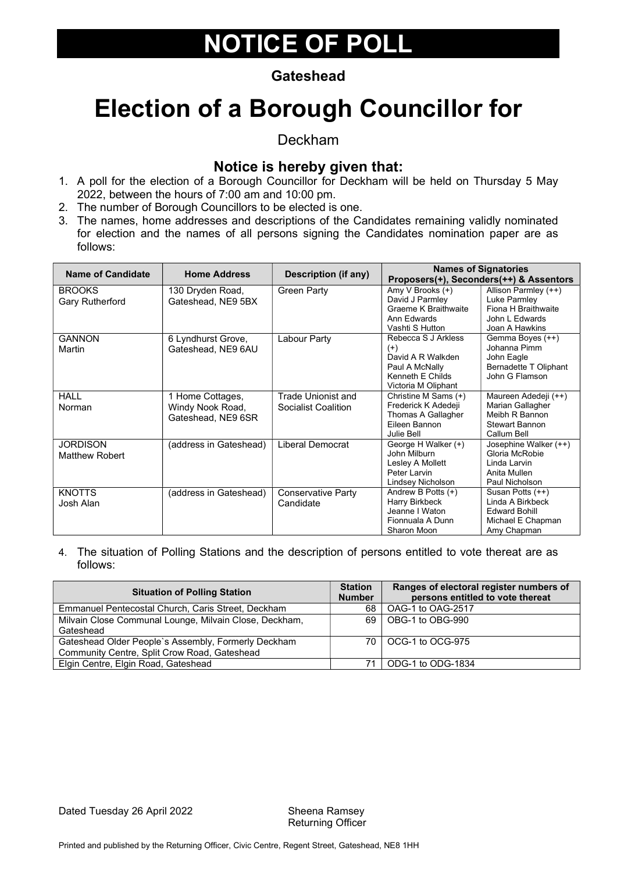#### **Gateshead**

### Election of a Borough Councillor for

Deckham

#### Notice is hereby given that:

- 1. A poll for the election of a Borough Councillor for Deckham will be held on Thursday 5 May 2022, between the hours of 7:00 am and 10:00 pm.
- 2. The number of Borough Councillors to be elected is one.
- 3. The names, home addresses and descriptions of the Candidates remaining validly nominated for election and the names of all persons signing the Candidates nomination paper are as follows:

| <b>Name of Candidate</b>                 | <b>Home Address</b>                                        | <b>Description (if any)</b>                      |                                                                                                                   | <b>Names of Signatories</b><br>Proposers(+), Seconders(++) & Assentors                             |
|------------------------------------------|------------------------------------------------------------|--------------------------------------------------|-------------------------------------------------------------------------------------------------------------------|----------------------------------------------------------------------------------------------------|
| <b>BROOKS</b><br><b>Gary Rutherford</b>  | 130 Dryden Road,<br>Gateshead, NE9 5BX                     | <b>Green Party</b>                               | Amy V Brooks (+)<br>David J Parmley<br><b>Graeme K Braithwaite</b><br>Ann Edwards<br>Vashti S Hutton              | Allison Parmley (++)<br>Luke Parmley<br>Fiona H Braithwaite<br>John L Edwards<br>Joan A Hawkins    |
| <b>GANNON</b><br>Martin                  | 6 Lyndhurst Grove,<br>Gateshead, NE9 6AU                   | Labour Party                                     | Rebecca S J Arkless<br>$^{(+)}$<br>David A R Walkden<br>Paul A McNally<br>Kenneth E Childs<br>Victoria M Oliphant | Gemma Boyes (++)<br>Johanna Pimm<br>John Eagle<br>Bernadette T Oliphant<br>John G Flamson          |
| <b>HALL</b><br>Norman                    | 1 Home Cottages,<br>Windy Nook Road,<br>Gateshead, NE9 6SR | Trade Unionist and<br><b>Socialist Coalition</b> | Christine M Sams (+)<br>Frederick K Adedeji<br>Thomas A Gallagher<br>Eileen Bannon<br>Julie Bell                  | Maureen Adedeji (++)<br>Marian Gallagher<br>Meibh R Bannon<br><b>Stewart Bannon</b><br>Callum Bell |
| <b>JORDISON</b><br><b>Matthew Robert</b> | (address in Gateshead)                                     | Liberal Democrat                                 | George H Walker (+)<br>John Milburn<br>Lesley A Mollett<br>Peter Larvin<br>Lindsey Nicholson                      | Josephine Walker (++)<br>Gloria McRobie<br>Linda Larvin<br>Anita Mullen<br>Paul Nicholson          |
| <b>KNOTTS</b><br>Josh Alan               | (address in Gateshead)                                     | <b>Conservative Party</b><br>Candidate           | Andrew B Potts (+)<br>Harry Birkbeck<br>Jeanne I Waton<br>Fionnuala A Dunn<br>Sharon Moon                         | Susan Potts (++)<br>Linda A Birkbeck<br><b>Edward Bohill</b><br>Michael E Chapman<br>Amy Chapman   |

| <b>Station</b><br><b>Number</b> | Ranges of electoral register numbers of<br>persons entitled to vote thereat |
|---------------------------------|-----------------------------------------------------------------------------|
| 68                              | OAG-1 to OAG-2517                                                           |
| 69.                             | OBG-1 to OBG-990                                                            |
|                                 |                                                                             |
|                                 | 70   OCG-1 to OCG-975                                                       |
|                                 |                                                                             |
|                                 | ODG-1 to ODG-1834                                                           |
|                                 |                                                                             |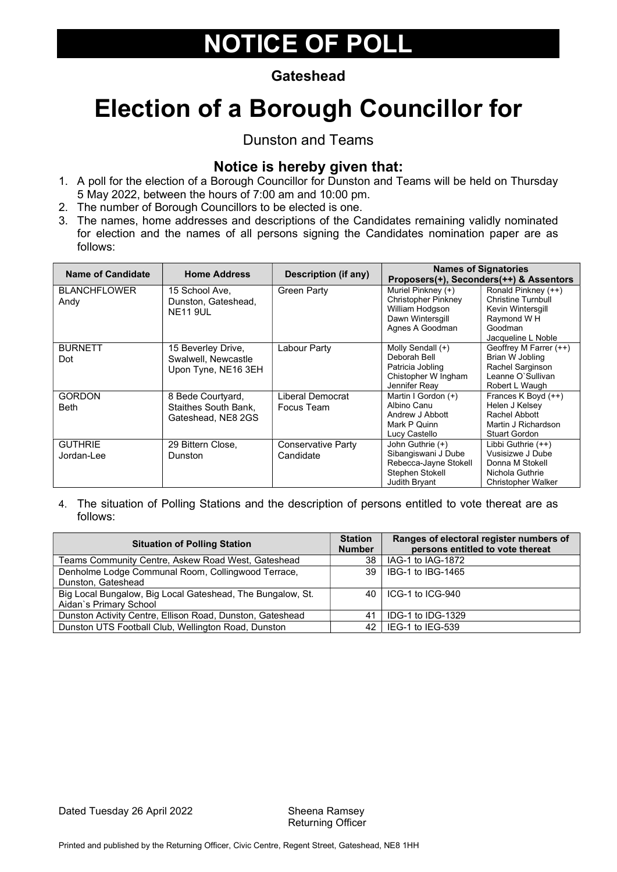#### **Gateshead**

# Election of a Borough Councillor for

### Dunston and Teams

#### Notice is hereby given that:

- 1. A poll for the election of a Borough Councillor for Dunston and Teams will be held on Thursday 5 May 2022, between the hours of 7:00 am and 10:00 pm.
- 2. The number of Borough Councillors to be elected is one.
- 3. The names, home addresses and descriptions of the Candidates remaining validly nominated for election and the names of all persons signing the Candidates nomination paper are as follows:

| <b>Name of Candidate</b>    | <b>Home Address</b>                        | <b>Description (if any)</b> |                                                    | <b>Names of Signatories</b><br>Proposers(+), Seconders(++) & Assentors |
|-----------------------------|--------------------------------------------|-----------------------------|----------------------------------------------------|------------------------------------------------------------------------|
| <b>BLANCHFLOWER</b><br>Andy | 15 School Ave.<br>Dunston, Gateshead,      | <b>Green Party</b>          | Muriel Pinkney $(+)$<br><b>Christopher Pinkney</b> | Ronald Pinkney (++)<br><b>Christine Turnbull</b>                       |
|                             | <b>NE11 9UL</b>                            |                             | William Hodgson<br>Dawn Wintersgill                | Kevin Wintersgill<br>Raymond WH                                        |
|                             |                                            |                             | Agnes A Goodman                                    | Goodman<br>Jacqueline L Noble                                          |
| <b>BURNETT</b>              | 15 Beverley Drive,                         | Labour Party                | Molly Sendall (+)                                  | Geoffrey M Farrer (++)                                                 |
| Dot                         | Swalwell, Newcastle<br>Upon Tyne, NE16 3EH |                             | Deborah Bell<br>Patricia Jobling                   | Brian W Jobling<br>Rachel Sarginson                                    |
|                             |                                            |                             | Chistopher W Ingham<br>Jennifer Reay               | Leanne O'Sullivan<br>Robert L Waugh                                    |
| <b>GORDON</b>               | 8 Bede Courtyard,                          | Liberal Democrat            | Martin I Gordon (+)                                | Frances K Boyd (++)                                                    |
| <b>Beth</b>                 | Staithes South Bank.                       | Focus Team                  | Albino Canu<br>Andrew J Abbott                     | Helen J Kelsey<br>Rachel Abbott                                        |
|                             | Gateshead, NE8 2GS                         |                             | Mark P Quinn                                       | Martin J Richardson                                                    |
|                             |                                            |                             | Lucy Castello                                      | Stuart Gordon                                                          |
| <b>GUTHRIE</b>              | 29 Bittern Close,                          | Conservative Party          | John Guthrie (+)                                   | Libbi Guthrie $(++)$<br>Vusisizwe J Dube                               |
| Jordan-Lee                  | Dunston                                    | Candidate                   | Sibangiswani J Dube<br>Rebecca-Jayne Stokell       | Donna M Stokell                                                        |
|                             |                                            |                             | Stephen Stokell                                    | Nichola Guthrie                                                        |
|                             |                                            |                             | Judith Bryant                                      | <b>Christopher Walker</b>                                              |

| <b>Situation of Polling Station</b>                        | <b>Station</b><br><b>Number</b> | Ranges of electoral register numbers of<br>persons entitled to vote thereat |
|------------------------------------------------------------|---------------------------------|-----------------------------------------------------------------------------|
| Teams Community Centre, Askew Road West, Gateshead         | 38                              | IAG-1 to IAG-1872                                                           |
| Denholme Lodge Communal Room, Collingwood Terrace,         | 39 <sup>°</sup>                 | BG-1 to IBG-1465                                                            |
| Dunston, Gateshead                                         |                                 |                                                                             |
| Big Local Bungalow, Big Local Gateshead, The Bungalow, St. |                                 | 40   ICG-1 to ICG-940                                                       |
| Aidan's Primary School                                     |                                 |                                                                             |
| Dunston Activity Centre, Ellison Road, Dunston, Gateshead  | 41                              | IDG-1 to IDG-1329                                                           |
| Dunston UTS Football Club, Wellington Road, Dunston        | 42                              | IEG-1 to IEG-539                                                            |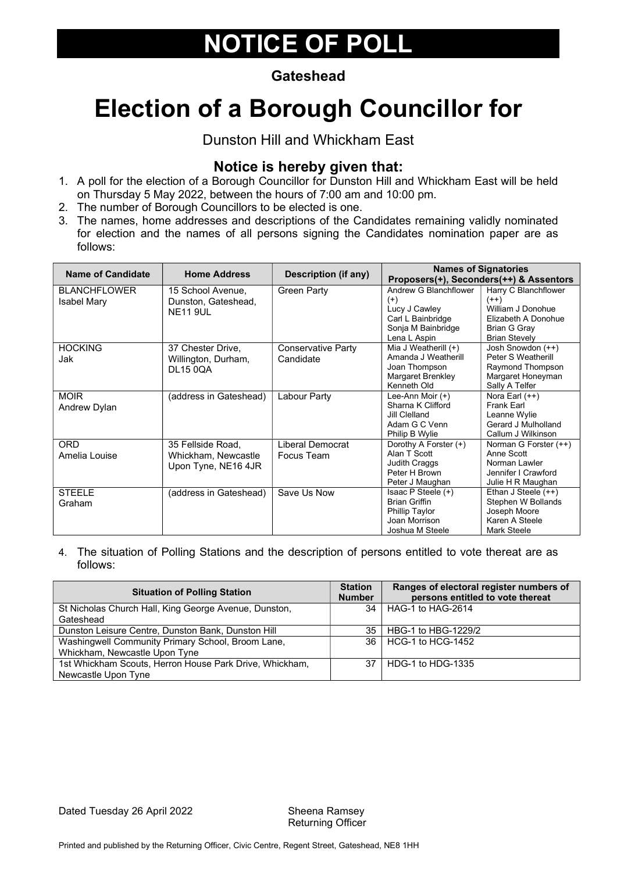#### **Gateshead**

# Election of a Borough Councillor for

Dunston Hill and Whickham East

### Notice is hereby given that:

- 1. A poll for the election of a Borough Councillor for Dunston Hill and Whickham East will be held on Thursday 5 May 2022, between the hours of 7:00 am and 10:00 pm.
- 2. The number of Borough Councillors to be elected is one.
- 3. The names, home addresses and descriptions of the Candidates remaining validly nominated for election and the names of all persons signing the Candidates nomination paper are as follows:

| <b>Name of Candidate</b>                  | <b>Home Address</b>                                             | <b>Description (if any)</b>            |                                                                                                               | <b>Names of Signatories</b>                                                                                                                                   |
|-------------------------------------------|-----------------------------------------------------------------|----------------------------------------|---------------------------------------------------------------------------------------------------------------|---------------------------------------------------------------------------------------------------------------------------------------------------------------|
| <b>BLANCHFLOWER</b><br><b>Isabel Mary</b> | 15 School Avenue,<br>Dunston, Gateshead,<br><b>NE11 9UL</b>     | Green Party                            | Andrew G Blanchflower<br>$^{(+)}$<br>Lucy J Cawley<br>Carl L Bainbridge<br>Sonja M Bainbridge<br>Lena L Aspin | Proposers(+), Seconders(++) & Assentors<br>Harry C Blanchflower<br>$(++)$<br>William J Donohue<br>Elizabeth A Donohue<br>Brian G Gray<br><b>Brian Stevely</b> |
| <b>HOCKING</b><br>Jak                     | 37 Chester Drive,<br>Willington, Durham,<br><b>DL15 0QA</b>     | <b>Conservative Party</b><br>Candidate | Mia J Weatherill $(+)$<br>Amanda J Weatherill<br>Joan Thompson<br><b>Margaret Brenkley</b><br>Kenneth Old     | Josh Snowdon (++)<br>Peter S Weatherill<br>Raymond Thompson<br>Margaret Honeyman<br>Sally A Telfer                                                            |
| <b>MOIR</b><br>Andrew Dylan               | (address in Gateshead)                                          | Labour Party                           | Lee-Ann Moir (+)<br>Sharna K Clifford<br>Jill Clelland<br>Adam G C Venn<br>Philip B Wylie                     | Nora Earl $(++)$<br>Frank Earl<br>Leanne Wylie<br>Gerard J Mulholland<br>Callum J Wilkinson                                                                   |
| <b>ORD</b><br>Amelia Louise               | 35 Fellside Road.<br>Whickham, Newcastle<br>Upon Tyne, NE16 4JR | Liberal Democrat<br>Focus Team         | Dorothy A Forster (+)<br>Alan T Scott<br>Judith Craggs<br>Peter H Brown<br>Peter J Maughan                    | Norman G Forster (++)<br>Anne Scott<br>Norman Lawler<br>Jennifer I Crawford<br>Julie H R Maughan                                                              |
| <b>STEELE</b><br>Graham                   | (address in Gateshead)                                          | Save Us Now                            | Isaac $P$ Steele $(+)$<br><b>Brian Griffin</b><br>Phillip Taylor<br>Joan Morrison<br>Joshua M Steele          | Ethan J Steele $(++)$<br>Stephen W Bollands<br>Joseph Moore<br>Karen A Steele<br>Mark Steele                                                                  |

4. The situation of Polling Stations and the description of persons entitled to vote thereat are as follows:

| <b>Situation of Polling Station</b>                     | <b>Station</b><br><b>Number</b> | Ranges of electoral register numbers of<br>persons entitled to vote thereat |
|---------------------------------------------------------|---------------------------------|-----------------------------------------------------------------------------|
| St Nicholas Church Hall, King George Avenue, Dunston,   | 34                              | HAG-1 to HAG-2614                                                           |
| Gateshead                                               |                                 |                                                                             |
| Dunston Leisure Centre, Dunston Bank, Dunston Hill      | 35                              | HBG-1 to HBG-1229/2                                                         |
| Washingwell Community Primary School, Broom Lane,       | 36 <sup>1</sup>                 | HCG-1 to HCG-1452                                                           |
| Whickham, Newcastle Upon Tyne                           |                                 |                                                                             |
| 1st Whickham Scouts, Herron House Park Drive, Whickham, | 37                              | HDG-1 to HDG-1335                                                           |
| Newcastle Upon Tyne                                     |                                 |                                                                             |

Dated Tuesday 26 April 2022 Sheena Ramsey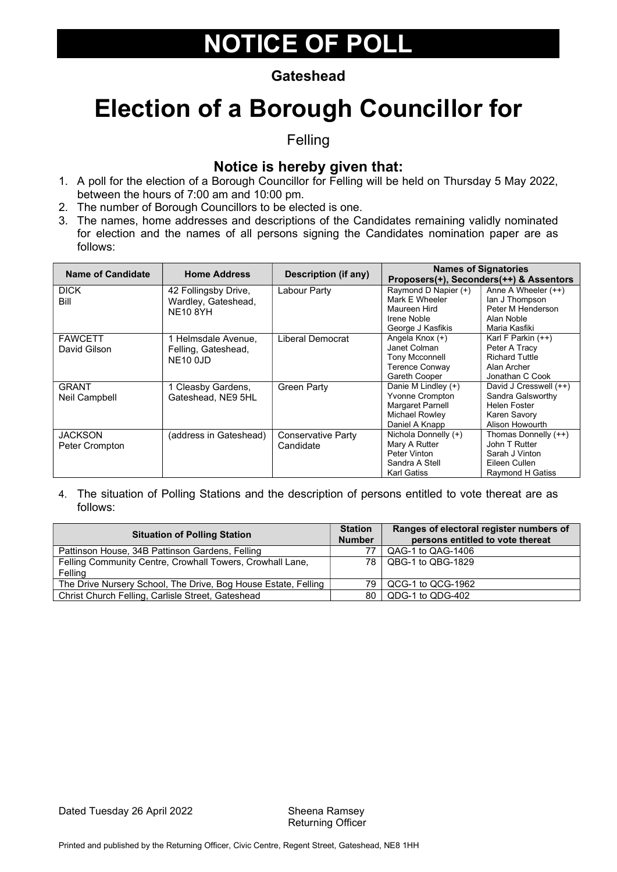#### **Gateshead**

### Election of a Borough Councillor for

Felling

### Notice is hereby given that:

- 1. A poll for the election of a Borough Councillor for Felling will be held on Thursday 5 May 2022, between the hours of 7:00 am and 10:00 pm.
- 2. The number of Borough Councillors to be elected is one.
- 3. The names, home addresses and descriptions of the Candidates remaining validly nominated for election and the names of all persons signing the Candidates nomination paper are as follows:

| <b>Name of Candidate</b> | <b>Home Address</b>    | <b>Description (if any)</b> |                        | <b>Names of Signatories</b><br>Proposers(+), Seconders(++) & Assentors |
|--------------------------|------------------------|-----------------------------|------------------------|------------------------------------------------------------------------|
| <b>DICK</b>              | 42 Follingsby Drive,   | Labour Party                | Raymond D Napier (+)   | Anne A Wheeler $(++)$                                                  |
| Bill                     | Wardley, Gateshead,    |                             | Mark E Wheeler         | lan J Thompson                                                         |
|                          | <b>NE10 8YH</b>        |                             | Maureen Hird           | Peter M Henderson                                                      |
|                          |                        |                             | Irene Noble            | Alan Noble                                                             |
|                          |                        |                             | George J Kasfikis      | Maria Kasfiki                                                          |
| <b>FAWCETT</b>           | 1 Helmsdale Avenue,    | Liberal Democrat            | Angela Knox (+)        | Karl F Parkin (++)                                                     |
| David Gilson             | Felling, Gateshead,    |                             | Janet Colman           | Peter A Tracy                                                          |
|                          | <b>NE10 0JD</b>        |                             | <b>Tony Mcconnell</b>  | <b>Richard Tuttle</b>                                                  |
|                          |                        |                             | <b>Terence Conway</b>  | Alan Archer                                                            |
|                          |                        |                             | Gareth Cooper          | Jonathan C Cook                                                        |
| <b>GRANT</b>             | 1 Cleasby Gardens,     | Green Party                 | Danie M Lindley (+)    | David J Cresswell (++)                                                 |
| Neil Campbell            | Gateshead, NE9 5HL     |                             | <b>Yvonne Crompton</b> | Sandra Galsworthy                                                      |
|                          |                        |                             | Margaret Parnell       | Helen Foster                                                           |
|                          |                        |                             | Michael Rowley         | Karen Savory                                                           |
|                          |                        |                             | Daniel A Knapp         | Alison Howourth                                                        |
| <b>JACKSON</b>           | (address in Gateshead) | <b>Conservative Party</b>   | Nichola Donnelly (+)   | Thomas Donnelly (++)                                                   |
| Peter Crompton           |                        | Candidate                   | Mary A Rutter          | John T Rutter                                                          |
|                          |                        |                             | Peter Vinton           | Sarah J Vinton                                                         |
|                          |                        |                             | Sandra A Stell         | Eileen Cullen                                                          |
|                          |                        |                             | <b>Karl Gatiss</b>     | <b>Raymond H Gatiss</b>                                                |

| <b>Situation of Polling Station</b>                                  |     | Ranges of electoral register numbers of<br>persons entitled to vote thereat |
|----------------------------------------------------------------------|-----|-----------------------------------------------------------------------------|
| Pattinson House, 34B Pattinson Gardens, Felling                      |     | QAG-1 to QAG-1406                                                           |
| Felling Community Centre, Crowhall Towers, Crowhall Lane,<br>Felling |     | 78   QBG-1 to QBG-1829                                                      |
| The Drive Nursery School, The Drive, Bog House Estate, Felling       | 79. | QCG-1 to QCG-1962                                                           |
| Christ Church Felling, Carlisle Street, Gateshead                    | 80  | QDG-1 to QDG-402                                                            |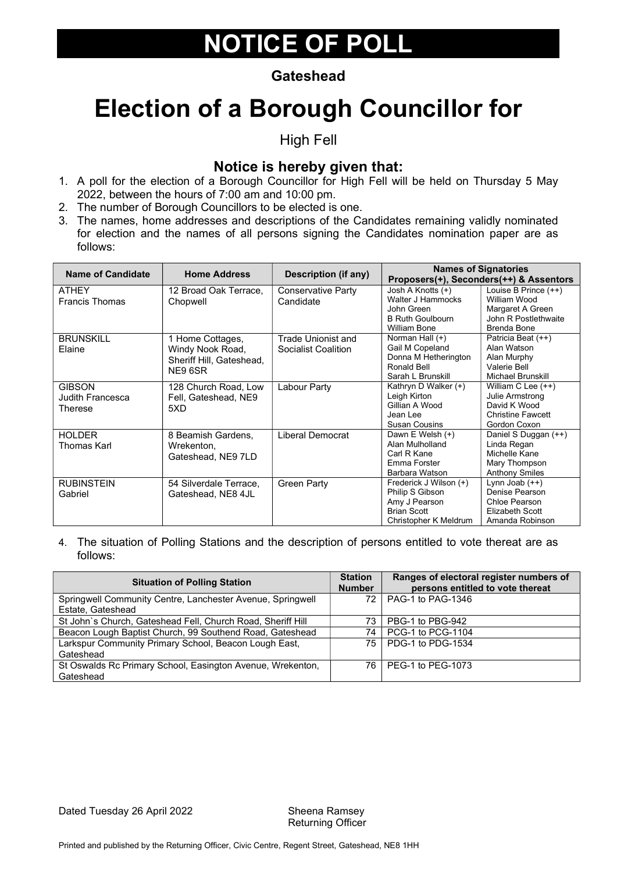#### **Gateshead**

### Election of a Borough Councillor for

High Fell

#### Notice is hereby given that:

- 1. A poll for the election of a Borough Councillor for High Fell will be held on Thursday 5 May 2022, between the hours of 7:00 am and 10:00 pm.
- 2. The number of Borough Councillors to be elected is one.
- 3. The names, home addresses and descriptions of the Candidates remaining validly nominated for election and the names of all persons signing the Candidates nomination paper are as follows:

| <b>Name of Candidate</b> | <b>Home Address</b>      | Description (if any) |                         | <b>Names of Signatories</b><br>Proposers(+), Seconders(++) & Assentors |
|--------------------------|--------------------------|----------------------|-------------------------|------------------------------------------------------------------------|
| <b>ATHEY</b>             | 12 Broad Oak Terrace,    | Conservative Party   | Josh A Knotts $(+)$     | Louise B Prince (++)                                                   |
| <b>Francis Thomas</b>    | Chopwell                 | Candidate            | Walter J Hammocks       | William Wood                                                           |
|                          |                          |                      | John Green              | Margaret A Green                                                       |
|                          |                          |                      | <b>B Ruth Goulbourn</b> | John R Postlethwaite                                                   |
|                          |                          |                      | <b>William Bone</b>     | Brenda Bone                                                            |
| <b>BRUNSKILL</b>         | 1 Home Cottages,         | Trade Unionist and   | Norman Hall (+)         | Patricia Beat (++)                                                     |
| Elaine                   | Windy Nook Road,         | Socialist Coalition  | Gail M Copeland         | Alan Watson                                                            |
|                          | Sheriff Hill, Gateshead, |                      | Donna M Hetherington    | Alan Murphy                                                            |
|                          | NE9 6SR                  |                      | Ronald Bell             | Valerie Bell                                                           |
|                          |                          |                      | Sarah L Brunskill       | Michael Brunskill                                                      |
| <b>GIBSON</b>            | 128 Church Road, Low     | Labour Party         | Kathryn D Walker (+)    | William C Lee $(++)$                                                   |
| Judith Francesca         | Fell, Gateshead, NE9     |                      | Leigh Kirton            | Julie Armstrong                                                        |
| Therese                  | 5XD                      |                      | Gillian A Wood          | David K Wood                                                           |
|                          |                          |                      | Jean Lee                | <b>Christine Fawcett</b>                                               |
|                          |                          |                      | <b>Susan Cousins</b>    | Gordon Coxon                                                           |
| <b>HOLDER</b>            | 8 Beamish Gardens,       | Liberal Democrat     | Dawn E Welsh (+)        | Daniel S Duggan (++)                                                   |
| Thomas Karl              | Wrekenton.               |                      | Alan Mulholland         | Linda Regan                                                            |
|                          | Gateshead, NE9 7LD       |                      | Carl R Kane             | Michelle Kane                                                          |
|                          |                          |                      | Emma Forster            | Mary Thompson                                                          |
|                          |                          |                      | Barbara Watson          | <b>Anthony Smiles</b>                                                  |
| <b>RUBINSTEIN</b>        | 54 Silverdale Terrace.   | <b>Green Party</b>   | Frederick J Wilson (+)  | Lynn Joab $(++)$                                                       |
| Gabriel                  | Gateshead, NE8 4JL       |                      | Philip S Gibson         | Denise Pearson                                                         |
|                          |                          |                      | Amy J Pearson           | Chloe Pearson                                                          |
|                          |                          |                      | <b>Brian Scott</b>      | Elizabeth Scott                                                        |
|                          |                          |                      | Christopher K Meldrum   | Amanda Robinson                                                        |

| <b>Situation of Polling Station</b>                         | <b>Station</b><br><b>Number</b> | Ranges of electoral register numbers of<br>persons entitled to vote thereat |
|-------------------------------------------------------------|---------------------------------|-----------------------------------------------------------------------------|
| Springwell Community Centre, Lanchester Avenue, Springwell  | 72                              | PAG-1 to PAG-1346                                                           |
| Estate, Gateshead                                           |                                 |                                                                             |
| St John's Church, Gateshead Fell, Church Road, Sheriff Hill | 73                              | PBG-1 to PBG-942                                                            |
| Beacon Lough Baptist Church, 99 Southend Road, Gateshead    | 74                              | PCG-1 to PCG-1104                                                           |
| Larkspur Community Primary School, Beacon Lough East,       | 75                              | PDG-1 to PDG-1534                                                           |
| Gateshead                                                   |                                 |                                                                             |
| St Oswalds Rc Primary School, Easington Avenue, Wrekenton,  | 76.                             | PEG-1 to PEG-1073                                                           |
| Gateshead                                                   |                                 |                                                                             |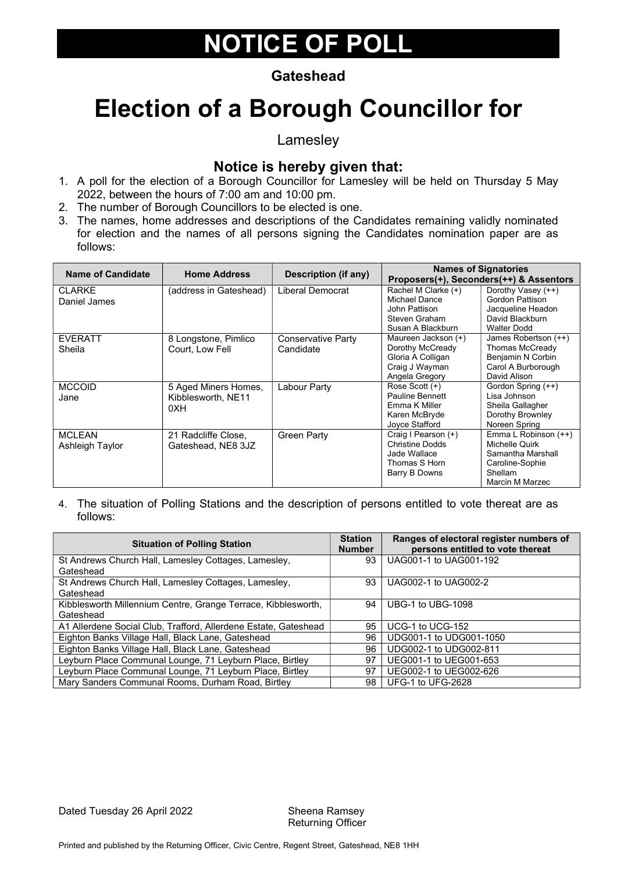#### **Gateshead**

### Election of a Borough Councillor for

Lamesley

#### Notice is hereby given that:

- 1. A poll for the election of a Borough Councillor for Lamesley will be held on Thursday 5 May 2022, between the hours of 7:00 am and 10:00 pm.
- 2. The number of Borough Councillors to be elected is one.
- 3. The names, home addresses and descriptions of the Candidates remaining validly nominated for election and the names of all persons signing the Candidates nomination paper are as follows:

| Name of Candidate | <b>Home Address</b>    | <b>Description (if any)</b> |                                      | <b>Names of Signatories</b><br>Proposers(+), Seconders(++) & Assentors |
|-------------------|------------------------|-----------------------------|--------------------------------------|------------------------------------------------------------------------|
| <b>CLARKE</b>     | (address in Gateshead) | Liberal Democrat            | Rachel M Clarke (+)<br>Michael Dance | Dorothy Vasey (++)<br>Gordon Pattison                                  |
| Daniel James      |                        |                             | John Pattison                        | Jacqueline Headon                                                      |
|                   |                        |                             | Steven Graham                        | David Blackburn                                                        |
|                   |                        |                             | Susan A Blackburn                    | <b>Walter Dodd</b>                                                     |
| <b>EVERATT</b>    | 8 Longstone, Pimlico   | Conservative Party          | Maureen Jackson (+)                  | James Robertson (++)                                                   |
| Sheila            | Court. Low Fell        | Candidate                   | Dorothy McCready                     | Thomas McCready                                                        |
|                   |                        |                             | Gloria A Colligan                    | Benjamin N Corbin                                                      |
|                   |                        |                             | Craig J Wayman                       | Carol A Burborough                                                     |
|                   |                        |                             | Angela Gregory                       | David Alison                                                           |
| <b>MCCOID</b>     | 5 Aged Miners Homes,   | Labour Party                | Rose Scott (+)                       | Gordon Spring (++)                                                     |
| Jane              | Kibblesworth, NE11     |                             | Pauline Bennett                      | Lisa Johnson                                                           |
|                   | 0XH                    |                             | Emma K Miller                        | Sheila Gallagher                                                       |
|                   |                        |                             | Karen McBryde                        | Dorothy Brownley                                                       |
|                   |                        |                             | Joyce Stafford                       | Noreen Spring                                                          |
| <b>MCLEAN</b>     | 21 Radcliffe Close,    | Green Party                 | Craig I Pearson (+)                  | Emma L Robinson (++)                                                   |
| Ashleigh Taylor   | Gateshead, NE8 3JZ     |                             | <b>Christine Dodds</b>               | Michelle Quirk                                                         |
|                   |                        |                             | Jade Wallace                         | Samantha Marshall                                                      |
|                   |                        |                             | Thomas S Horn                        | Caroline-Sophie                                                        |
|                   |                        |                             | Barry B Downs                        | Shellam                                                                |
|                   |                        |                             |                                      | Marcin M Marzec                                                        |

| <b>Situation of Polling Station</b>                             |    | Ranges of electoral register numbers of<br>persons entitled to vote thereat |
|-----------------------------------------------------------------|----|-----------------------------------------------------------------------------|
| St Andrews Church Hall, Lamesley Cottages, Lamesley,            | 93 | UAG001-1 to UAG001-192                                                      |
| Gateshead                                                       |    |                                                                             |
| St Andrews Church Hall, Lamesley Cottages, Lamesley,            | 93 | UAG002-1 to UAG002-2                                                        |
| Gateshead                                                       |    |                                                                             |
| Kibblesworth Millennium Centre, Grange Terrace, Kibblesworth,   | 94 | UBG-1 to UBG-1098                                                           |
| Gateshead                                                       |    |                                                                             |
| A1 Allerdene Social Club, Trafford, Allerdene Estate, Gateshead | 95 | UCG-1 to UCG-152                                                            |
| Eighton Banks Village Hall, Black Lane, Gateshead               | 96 | UDG001-1 to UDG001-1050                                                     |
| Eighton Banks Village Hall, Black Lane, Gateshead               | 96 | UDG002-1 to UDG002-811                                                      |
| Leyburn Place Communal Lounge, 71 Leyburn Place, Birtley        | 97 | UEG001-1 to UEG001-653                                                      |
| Leyburn Place Communal Lounge, 71 Leyburn Place, Birtley        | 97 | UEG002-1 to UEG002-626                                                      |
| Mary Sanders Communal Rooms, Durham Road, Birtley               | 98 | UFG-1 to UFG-2628                                                           |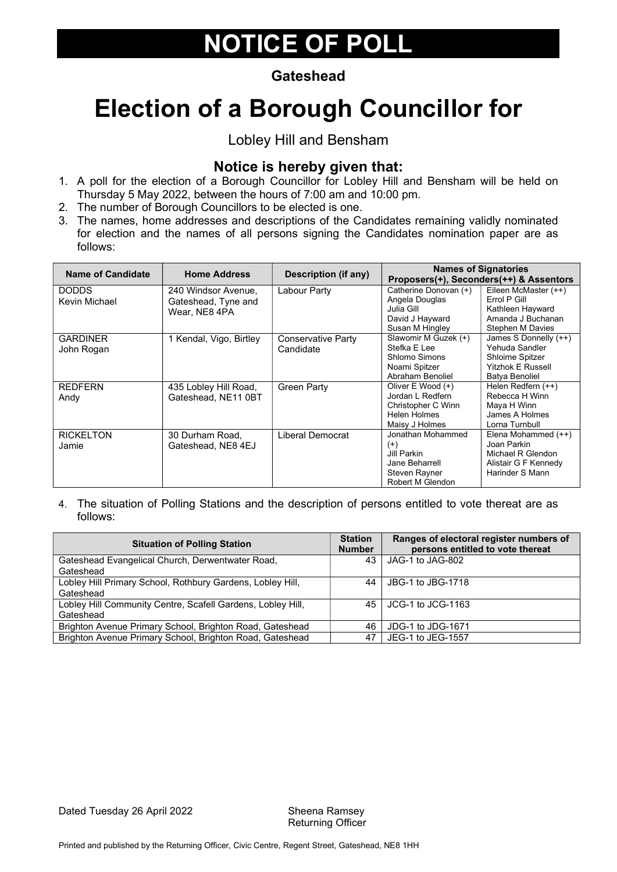#### **Gateshead**

# Election of a Borough Councillor for

#### Lobley Hill and Bensham

#### Notice is hereby given that:

- 1. A poll for the election of a Borough Councillor for Lobley Hill and Bensham will be held on Thursday 5 May 2022, between the hours of 7:00 am and 10:00 pm.
- 2. The number of Borough Councillors to be elected is one.
- 3. The names, home addresses and descriptions of the Candidates remaining validly nominated for election and the names of all persons signing the Candidates nomination paper are as follows:

| <b>Name of Candidate</b> | <b>Home Address</b>     | <b>Description (if any)</b> |                       | <b>Names of Signatories</b><br>Proposers(+), Seconders(++) & Assentors |
|--------------------------|-------------------------|-----------------------------|-----------------------|------------------------------------------------------------------------|
| <b>DODDS</b>             | 240 Windsor Avenue,     | Labour Party                | Catherine Donovan (+) | Eileen McMaster (++)                                                   |
| Kevin Michael            | Gateshead, Tyne and     |                             | Angela Douglas        | Errol P Gill                                                           |
|                          | Wear, NE8 4PA           |                             | Julia Gill            | Kathleen Hayward                                                       |
|                          |                         |                             | David J Hayward       | Amanda J Buchanan                                                      |
|                          |                         |                             | Susan M Hingley       | <b>Stephen M Davies</b>                                                |
| <b>GARDINER</b>          | 1 Kendal, Vigo, Birtley | Conservative Party          | Slawomir M Guzek (+)  | James S Donnelly (++)                                                  |
| John Rogan               |                         | Candidate                   | Stefka E Lee          | Yehuda Sandler                                                         |
|                          |                         |                             | Shlomo Simons         | Shloime Spitzer                                                        |
|                          |                         |                             | Noami Spitzer         | <b>Yitzhok E Russell</b>                                               |
|                          |                         |                             | Abraham Benoliel      | Batya Benoliel                                                         |
| <b>REDFERN</b>           | 435 Lobley Hill Road,   | <b>Green Party</b>          | Oliver E Wood (+)     | Helen Redfern (++)                                                     |
| Andy                     | Gateshead, NE11 0BT     |                             | Jordan L Redfern      | Rebecca H Winn                                                         |
|                          |                         |                             | Christopher C Winn    | Maya H Winn                                                            |
|                          |                         |                             | <b>Helen Holmes</b>   | James A Holmes                                                         |
|                          |                         |                             | Maisy J Holmes        | Lorna Turnbull                                                         |
| <b>RICKELTON</b>         | 30 Durham Road,         | Liberal Democrat            | Jonathan Mohammed     | Elena Mohammed (++)                                                    |
| Jamie                    | Gateshead, NE8 4EJ      |                             | $(+)$                 | Joan Parkin                                                            |
|                          |                         |                             | Jill Parkin           | Michael R Glendon                                                      |
|                          |                         |                             | Jane Beharrell        | Alistair G F Kennedy                                                   |
|                          |                         |                             | Steven Rayner         | Harinder S Mann                                                        |
|                          |                         |                             | Robert M Glendon      |                                                                        |

| <b>Situation of Polling Station</b>                         | <b>Station</b><br><b>Number</b> | Ranges of electoral register numbers of<br>persons entitled to vote thereat |
|-------------------------------------------------------------|---------------------------------|-----------------------------------------------------------------------------|
| Gateshead Evangelical Church, Derwentwater Road,            | 43                              | JAG-1 to JAG-802                                                            |
| Gateshead                                                   |                                 |                                                                             |
| Lobley Hill Primary School, Rothbury Gardens, Lobley Hill,  | 44                              | JBG-1 to JBG-1718                                                           |
| Gateshead                                                   |                                 |                                                                             |
| Lobley Hill Community Centre, Scafell Gardens, Lobley Hill, | 45                              | JCG-1 to JCG-1163                                                           |
| Gateshead                                                   |                                 |                                                                             |
| Brighton Avenue Primary School, Brighton Road, Gateshead    | 46                              | JDG-1 to JDG-1671                                                           |
| Brighton Avenue Primary School, Brighton Road, Gateshead    | 47                              | JEG-1 to JEG-1557                                                           |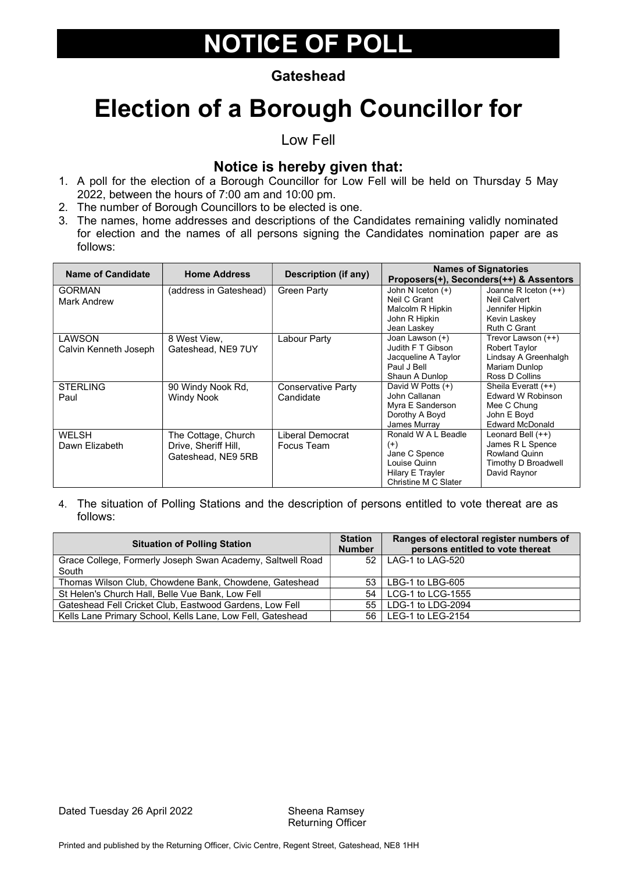#### **Gateshead**

### Election of a Borough Councillor for

Low Fell

### Notice is hereby given that:

- 1. A poll for the election of a Borough Councillor for Low Fell will be held on Thursday 5 May 2022, between the hours of 7:00 am and 10:00 pm.
- 2. The number of Borough Councillors to be elected is one.
- 3. The names, home addresses and descriptions of the Candidates remaining validly nominated for election and the names of all persons signing the Candidates nomination paper are as follows:

| <b>Name of Candidate</b> | <b>Home Address</b>     | Description (if any) |                      | <b>Names of Signatories</b><br>Proposers(+), Seconders(++) & Assentors |
|--------------------------|-------------------------|----------------------|----------------------|------------------------------------------------------------------------|
| <b>GORMAN</b>            | (address in Gateshead). | Green Party          | John N Iceton $(+)$  | Joanne R Iceton $(++)$                                                 |
| Mark Andrew              |                         |                      | Neil C Grant         | Neil Calvert                                                           |
|                          |                         |                      | Malcolm R Hipkin     | Jennifer Hipkin                                                        |
|                          |                         |                      | John R Hipkin        | Kevin Laskey                                                           |
|                          |                         |                      | Jean Laskev          | Ruth C Grant                                                           |
| LAWSON                   | 8 West View.            | Labour Party         | Joan Lawson (+)      | Trevor Lawson (++)                                                     |
| Calvin Kenneth Joseph    | Gateshead, NE9 7UY      |                      | Judith F T Gibson    | <b>Robert Taylor</b>                                                   |
|                          |                         |                      | Jacqueline A Taylor  | Lindsay A Greenhalgh                                                   |
|                          |                         |                      | Paul J Bell          | Mariam Dunlop                                                          |
|                          |                         |                      | Shaun A Dunlop       | Ross D Collins                                                         |
| <b>STERLING</b>          | 90 Windy Nook Rd.       | Conservative Party   | David W Potts (+)    | Sheila Everatt (++)                                                    |
| Paul                     | <b>Windy Nook</b>       | Candidate            | John Callanan        | Edward W Robinson                                                      |
|                          |                         |                      | Myra E Sanderson     | Mee C Chung                                                            |
|                          |                         |                      | Dorothy A Boyd       | John E Boyd                                                            |
|                          |                         |                      | James Murray         | <b>Edward McDonald</b>                                                 |
| <b>WELSH</b>             | The Cottage, Church     | Liberal Democrat     | Ronald W A L Beadle  | Leonard Bell $(++)$                                                    |
| Dawn Elizabeth           | Drive. Sheriff Hill.    | Focus Team           | $^{(+)}$             | James R L Spence                                                       |
|                          | Gateshead, NE9 5RB      |                      | Jane C Spence        | Rowland Quinn                                                          |
|                          |                         |                      | Louise Quinn         | Timothy D Broadwell                                                    |
|                          |                         |                      | Hilary E Trayler     | David Raynor                                                           |
|                          |                         |                      | Christine M C Slater |                                                                        |

| <b>Situation of Polling Station</b>                        | <b>Station</b><br><b>Number</b> | Ranges of electoral register numbers of<br>persons entitled to vote thereat |
|------------------------------------------------------------|---------------------------------|-----------------------------------------------------------------------------|
| Grace College, Formerly Joseph Swan Academy, Saltwell Road | 52                              | LAG-1 to LAG-520                                                            |
| South                                                      |                                 |                                                                             |
| Thomas Wilson Club, Chowdene Bank, Chowdene, Gateshead     | 53                              | LBG-1 to LBG-605                                                            |
| St Helen's Church Hall, Belle Vue Bank, Low Fell           | 54                              | LCG-1 to LCG-1555                                                           |
| Gateshead Fell Cricket Club, Eastwood Gardens, Low Fell    | 55                              | LDG-1 to LDG-2094                                                           |
| Kells Lane Primary School, Kells Lane, Low Fell, Gateshead |                                 | 56   LEG-1 to LEG-2154                                                      |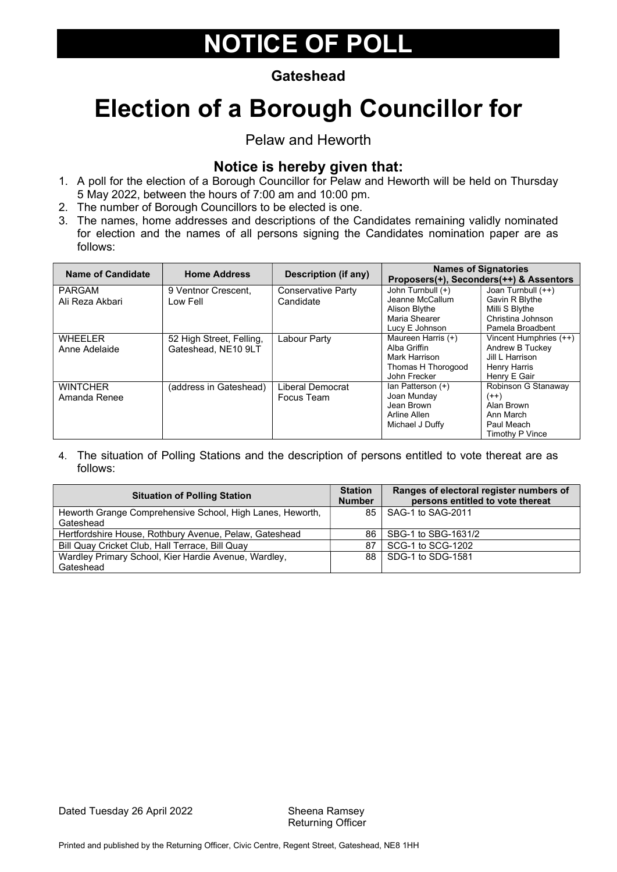#### **Gateshead**

# Election of a Borough Councillor for

#### Pelaw and Heworth

### Notice is hereby given that:

- 1. A poll for the election of a Borough Councillor for Pelaw and Heworth will be held on Thursday 5 May 2022, between the hours of 7:00 am and 10:00 pm.
- 2. The number of Borough Councillors to be elected is one.
- 3. The names, home addresses and descriptions of the Candidates remaining validly nominated for election and the names of all persons signing the Candidates nomination paper are as follows:

| <b>Name of Candidate</b>         | <b>Home Address</b>                             | Description (if any)            |                                                                                           | <b>Names of Signatories</b><br>Proposers(+), Seconders(++) & Assentors                          |
|----------------------------------|-------------------------------------------------|---------------------------------|-------------------------------------------------------------------------------------------|-------------------------------------------------------------------------------------------------|
| <b>PARGAM</b><br>Ali Reza Akbari | 9 Ventnor Crescent,<br>Low Fell                 | Conservative Party<br>Candidate | John Turnbull (+)<br>Jeanne McCallum<br>Alison Blythe<br>Maria Shearer<br>Lucy E Johnson  | Joan Turnbull (++)<br>Gavin R Blythe<br>Milli S Blythe<br>Christina Johnson<br>Pamela Broadbent |
| <b>WHEELER</b><br>Anne Adelaide  | 52 High Street, Felling,<br>Gateshead, NE10 9LT | Labour Party                    | Maureen Harris (+)<br>Alba Griffin<br>Mark Harrison<br>Thomas H Thorogood<br>John Frecker | Vincent Humphries (++)<br>Andrew B Tuckey<br>Jill L Harrison<br>Henry Harris<br>Henry E Gair    |
| <b>WINTCHER</b><br>Amanda Renee  | (address in Gateshead)                          | Liberal Democrat<br>Focus Team  | lan Patterson (+)<br>Joan Munday<br>Jean Brown<br>Arline Allen<br>Michael J Duffy         | Robinson G Stanaway<br>$(++)$<br>Alan Brown<br>Ann March<br>Paul Meach<br>Timothy P Vince       |

| <b>Situation of Polling Station</b>                       |                 | Ranges of electoral register numbers of<br>persons entitled to vote thereat |
|-----------------------------------------------------------|-----------------|-----------------------------------------------------------------------------|
| Heworth Grange Comprehensive School, High Lanes, Heworth, | 85 <sub>1</sub> | SAG-1 to SAG-2011                                                           |
| Gateshead                                                 |                 |                                                                             |
| Hertfordshire House, Rothbury Avenue, Pelaw, Gateshead    | 86              | SBG-1 to SBG-1631/2                                                         |
| Bill Quay Cricket Club, Hall Terrace, Bill Quay           | 87              | SCG-1 to SCG-1202                                                           |
| Wardley Primary School, Kier Hardie Avenue, Wardley,      | 88.             | SDG-1 to SDG-1581                                                           |
| Gateshead                                                 |                 |                                                                             |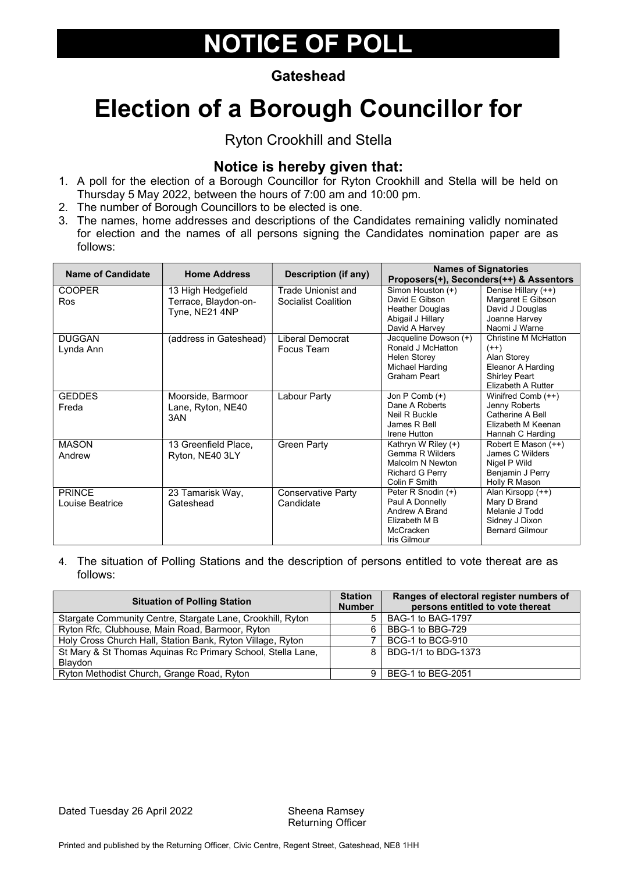#### **Gateshead**

# Election of a Borough Councillor for

#### Ryton Crookhill and Stella

#### Notice is hereby given that:

- 1. A poll for the election of a Borough Councillor for Ryton Crookhill and Stella will be held on Thursday 5 May 2022, between the hours of 7:00 am and 10:00 pm.
- 2. The number of Borough Councillors to be elected is one.
- 3. The names, home addresses and descriptions of the Candidates remaining validly nominated for election and the names of all persons signing the Candidates nomination paper are as follows:

| <b>Name of Candidate</b> | <b>Home Address</b>    | Description (if any)      | <b>Names of Signatories</b><br>Proposers(+), Seconders(++) & Assentors |                                            |
|--------------------------|------------------------|---------------------------|------------------------------------------------------------------------|--------------------------------------------|
| <b>COOPER</b>            | 13 High Hedgefield     | Trade Unionist and        | Simon Houston (+)                                                      | Denise Hillary (++)                        |
| <b>Ros</b>               | Terrace, Blaydon-on-   | Socialist Coalition       | David E Gibson                                                         | Margaret E Gibson                          |
|                          | Tyne, NE21 4NP         |                           | Heather Douglas                                                        | David J Douglas                            |
|                          |                        |                           | Abigail J Hillary                                                      | Joanne Harvey                              |
|                          |                        |                           | David A Harvey                                                         | Naomi J Warne                              |
| <b>DUGGAN</b>            | (address in Gateshead) | Liberal Democrat          | Jacqueline Dowson (+)                                                  | Christine M McHatton                       |
| Lynda Ann                |                        | Focus Team                | Ronald J McHatton                                                      | $(++)$                                     |
|                          |                        |                           | Helen Storey                                                           | Alan Storey                                |
|                          |                        |                           | Michael Harding                                                        | <b>Eleanor A Harding</b>                   |
|                          |                        |                           | Graham Peart                                                           | <b>Shirley Peart</b><br>Elizabeth A Rutter |
|                          |                        |                           |                                                                        |                                            |
| <b>GEDDES</b>            | Moorside, Barmoor      | Labour Party              | Jon P Comb (+)<br>Dane A Roberts                                       | Winifred Comb (++)                         |
| Freda                    | Lane, Ryton, NE40      |                           | Neil R Buckle                                                          | Jenny Roberts<br>Catherine A Bell          |
|                          | 3AN                    |                           | James R Bell                                                           | Elizabeth M Keenan                         |
|                          |                        |                           | Irene Hutton                                                           | Hannah C Harding                           |
| <b>MASON</b>             | 13 Greenfield Place,   | <b>Green Party</b>        | Kathryn W Riley (+)                                                    | Robert E Mason (++)                        |
| Andrew                   |                        |                           | Gemma R Wilders                                                        | James C Wilders                            |
|                          | Ryton, NE40 3LY        |                           | Malcolm N Newton                                                       | Nigel P Wild                               |
|                          |                        |                           | <b>Richard G Perry</b>                                                 | Benjamin J Perry                           |
|                          |                        |                           | Colin F Smith                                                          | Holly R Mason                              |
| <b>PRINCE</b>            | 23 Tamarisk Way,       | <b>Conservative Party</b> | Peter R Snodin (+)                                                     | Alan Kirsopp (++)                          |
| Louise Beatrice          | Gateshead              | Candidate                 | Paul A Donnelly                                                        | Mary D Brand                               |
|                          |                        |                           | Andrew A Brand                                                         | Melanie J Todd                             |
|                          |                        |                           | Flizabeth M B                                                          | Sidney J Dixon                             |
|                          |                        |                           | McCracken                                                              | <b>Bernard Gilmour</b>                     |
|                          |                        |                           | Iris Gilmour                                                           |                                            |

| <b>Situation of Polling Station</b>                                           | <b>Station</b><br><b>Number</b> | Ranges of electoral register numbers of<br>persons entitled to vote thereat |
|-------------------------------------------------------------------------------|---------------------------------|-----------------------------------------------------------------------------|
| Stargate Community Centre, Stargate Lane, Crookhill, Ryton                    |                                 | BAG-1 to BAG-1797                                                           |
| Ryton Rfc, Clubhouse, Main Road, Barmoor, Ryton                               | 6.                              | BBG-1 to BBG-729                                                            |
| Holy Cross Church Hall, Station Bank, Ryton Village, Ryton                    |                                 | BCG-1 to BCG-910                                                            |
| St Mary & St Thomas Aquinas Rc Primary School, Stella Lane,<br><b>Blaydon</b> | 8.                              | BDG-1/1 to BDG-1373                                                         |
| Ryton Methodist Church, Grange Road, Ryton                                    |                                 | BEG-1 to BEG-2051                                                           |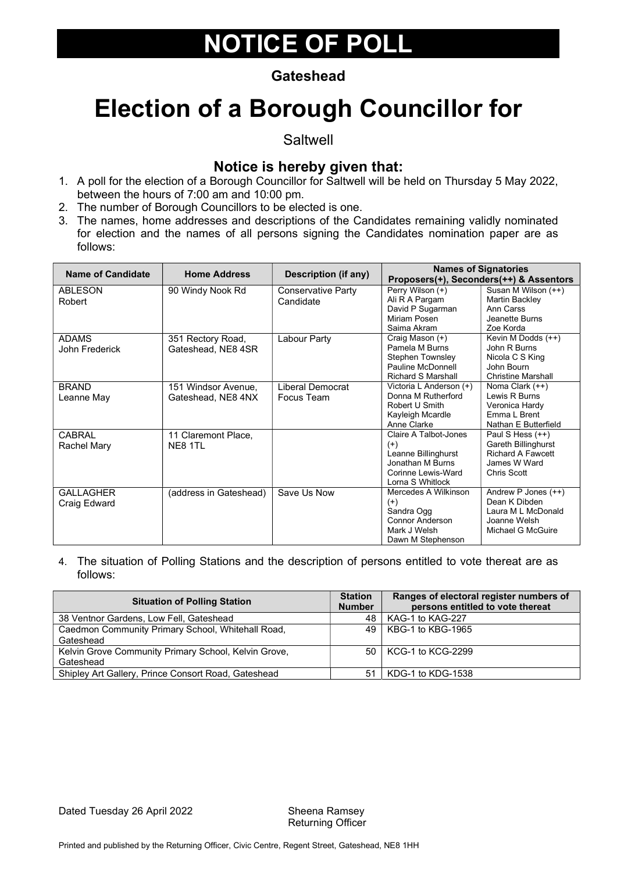#### **Gateshead**

### Election of a Borough Councillor for

**Saltwell** 

#### Notice is hereby given that:

- 1. A poll for the election of a Borough Councillor for Saltwell will be held on Thursday 5 May 2022, between the hours of 7:00 am and 10:00 pm.
- 2. The number of Borough Councillors to be elected is one.
- 3. The names, home addresses and descriptions of the Candidates remaining validly nominated for election and the names of all persons signing the Candidates nomination paper are as follows:

| <b>Name of Candidate</b> | <b>Home Address</b>    | <b>Description (if any)</b>     | <b>Names of Signatories</b><br>Proposers(+), Seconders(++) & Assentors |                                       |
|--------------------------|------------------------|---------------------------------|------------------------------------------------------------------------|---------------------------------------|
| <b>ABLESON</b><br>Robert | 90 Windy Nook Rd       | Conservative Party<br>Candidate | Perry Wilson (+)<br>Ali R A Pargam                                     | Susan M Wilson (++)<br>Martin Backley |
|                          |                        |                                 | David P Sugarman                                                       | Ann Carss                             |
|                          |                        |                                 | Miriam Posen<br>Saima Akram                                            | Jeanette Burns<br>Zoe Korda           |
| <b>ADAMS</b>             | 351 Rectory Road,      | Labour Party                    | Craig Mason (+)                                                        | Kevin M Dodds (++)                    |
| John Frederick           | Gateshead, NE8 4SR     |                                 | Pamela M Burns                                                         | John R Burns                          |
|                          |                        |                                 | <b>Stephen Townsley</b>                                                | Nicola C S King                       |
|                          |                        |                                 | Pauline McDonnell                                                      | John Bourn                            |
|                          |                        |                                 | <b>Richard S Marshall</b>                                              | <b>Christine Marshall</b>             |
| <b>BRAND</b>             | 151 Windsor Avenue,    | Liberal Democrat                | Victoria L Anderson (+)<br>Donna M Rutherford                          | Noma Clark (++)<br>Lewis R Burns      |
| Leanne May               | Gateshead, NE8 4NX     | Focus Team                      | Robert U Smith                                                         | Veronica Hardy                        |
|                          |                        |                                 |                                                                        | <b>Emma I Brent</b>                   |
|                          |                        |                                 | Kayleigh Mcardle<br>Anne Clarke                                        | Nathan E Butterfield                  |
| <b>CABRAL</b>            | 11 Claremont Place,    |                                 | Claire A Talbot-Jones                                                  | Paul S Hess (++)                      |
| Rachel Mary              | NE8 1TL                |                                 | $(+)$                                                                  | Gareth Billinghurst                   |
|                          |                        |                                 | Leanne Billinghurst                                                    | <b>Richard A Fawcett</b>              |
|                          |                        |                                 | Jonathan M Burns                                                       | James W Ward                          |
|                          |                        |                                 | Corinne Lewis-Ward                                                     | <b>Chris Scott</b>                    |
|                          |                        |                                 | Lorna S Whitlock                                                       |                                       |
| <b>GALLAGHER</b>         | (address in Gateshead) | Save Us Now                     | Mercedes A Wilkinson                                                   | Andrew P Jones $(++)$                 |
| Craig Edward             |                        |                                 | $^{(+)}$                                                               | Dean K Dibden                         |
|                          |                        |                                 | Sandra Ogg                                                             | Laura M L McDonald                    |
|                          |                        |                                 | <b>Connor Anderson</b>                                                 | Joanne Welsh                          |
|                          |                        |                                 | Mark J Welsh                                                           | Michael G McGuire                     |
|                          |                        |                                 | Dawn M Stephenson                                                      |                                       |

| <b>Situation of Polling Station</b>                  | <b>Station</b><br><b>Number</b> | Ranges of electoral register numbers of<br>persons entitled to vote thereat |
|------------------------------------------------------|---------------------------------|-----------------------------------------------------------------------------|
| 38 Ventnor Gardens, Low Fell, Gateshead              | 48                              | KAG-1 to KAG-227                                                            |
| Caedmon Community Primary School, Whitehall Road,    | 49                              | KBG-1 to KBG-1965                                                           |
| Gateshead                                            |                                 |                                                                             |
| Kelvin Grove Community Primary School, Kelvin Grove, | .50 l                           | KCG-1 to KCG-2299                                                           |
| Gateshead                                            |                                 |                                                                             |
| Shipley Art Gallery, Prince Consort Road, Gateshead  | 51                              | KDG-1 to KDG-1538                                                           |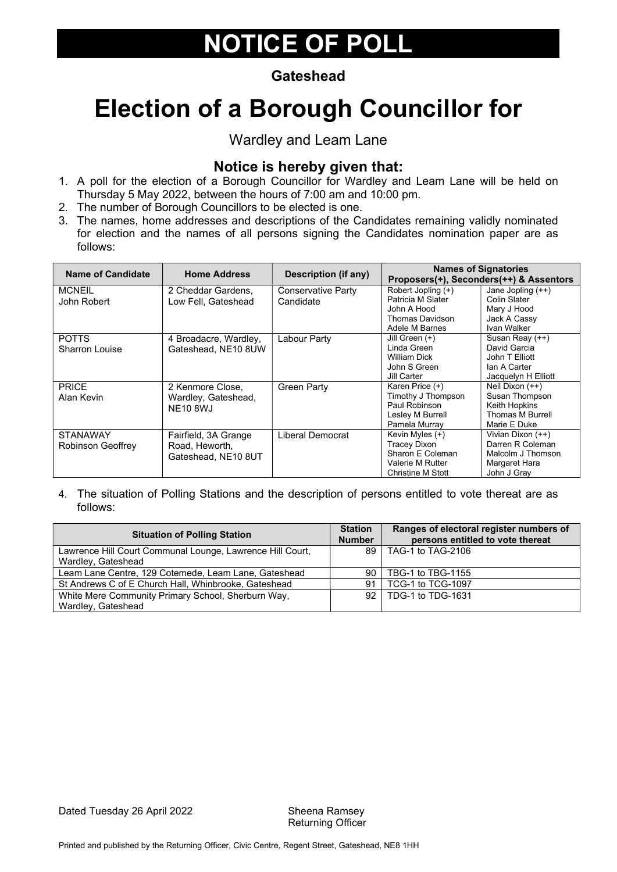#### **Gateshead**

# Election of a Borough Councillor for

#### Wardley and Leam Lane

### Notice is hereby given that:

- 1. A poll for the election of a Borough Councillor for Wardley and Leam Lane will be held on Thursday 5 May 2022, between the hours of 7:00 am and 10:00 pm.
- 2. The number of Borough Councillors to be elected is one.
- 3. The names, home addresses and descriptions of the Candidates remaining validly nominated for election and the names of all persons signing the Candidates nomination paper are as follows:

| <b>Name of Candidate</b> | <b>Home Address</b>   | Description (if any) | <b>Names of Signatories</b><br>Proposers(+), Seconders(++) & Assentors |                     |
|--------------------------|-----------------------|----------------------|------------------------------------------------------------------------|---------------------|
| <b>MCNEIL</b>            | 2 Cheddar Gardens,    | Conservative Party   | Robert Jopling (+)                                                     | Jane Jopling $(++)$ |
| John Robert              | Low Fell. Gateshead   | Candidate            | Patricia M Slater                                                      | Colin Slater        |
|                          |                       |                      | John A Hood                                                            | Mary J Hood         |
|                          |                       |                      | Thomas Davidson                                                        | Jack A Cassy        |
|                          |                       |                      | Adele M Barnes                                                         | Ivan Walker         |
| <b>POTTS</b>             | 4 Broadacre, Wardley, | Labour Party         | Jill Green (+)                                                         | Susan Reay (++)     |
| <b>Sharron Louise</b>    | Gateshead, NE10 8UW   |                      | Linda Green                                                            | David Garcia        |
|                          |                       |                      | William Dick                                                           | John T Elliott      |
|                          |                       |                      | John S Green                                                           | lan A Carter        |
|                          |                       |                      | Jill Carter                                                            | Jacquelyn H Elliott |
| <b>PRICE</b>             | 2 Kenmore Close,      | <b>Green Party</b>   | Karen Price (+)                                                        | Neil Dixon (++)     |
| Alan Kevin               | Wardley, Gateshead,   |                      | Timothy J Thompson                                                     | Susan Thompson      |
|                          | <b>NE10 8WJ</b>       |                      | Paul Robinson                                                          | Keith Hopkins       |
|                          |                       |                      | Lesley M Burrell                                                       | Thomas M Burrell    |
|                          |                       |                      | Pamela Murray                                                          | Marie E Duke        |
| <b>STANAWAY</b>          | Fairfield, 3A Grange  | Liberal Democrat     | Kevin Myles (+)                                                        | Vivian Dixon (++)   |
| Robinson Geoffrey        | Road, Heworth,        |                      | <b>Tracey Dixon</b>                                                    | Darren R Coleman    |
|                          | Gateshead, NE10 8UT   |                      | Sharon E Coleman                                                       | Malcolm J Thomson   |
|                          |                       |                      | Valerie M Rutter                                                       | Margaret Hara       |
|                          |                       |                      | Christine M Stott                                                      | John J Gray         |

| <b>Situation of Polling Station</b>                       |    | Ranges of electoral register numbers of<br>persons entitled to vote thereat |
|-----------------------------------------------------------|----|-----------------------------------------------------------------------------|
| Lawrence Hill Court Communal Lounge, Lawrence Hill Court, | 89 | TAG-1 to TAG-2106                                                           |
| Wardley, Gateshead                                        |    |                                                                             |
| Leam Lane Centre, 129 Cotemede, Leam Lane, Gateshead      | 90 | TBG-1 to TBG-1155                                                           |
| St Andrews C of E Church Hall, Whinbrooke, Gateshead      | 91 | TCG-1 to TCG-1097                                                           |
| White Mere Community Primary School, Sherburn Way,        |    | 92   TDG-1 to TDG-1631                                                      |
| Wardley, Gateshead                                        |    |                                                                             |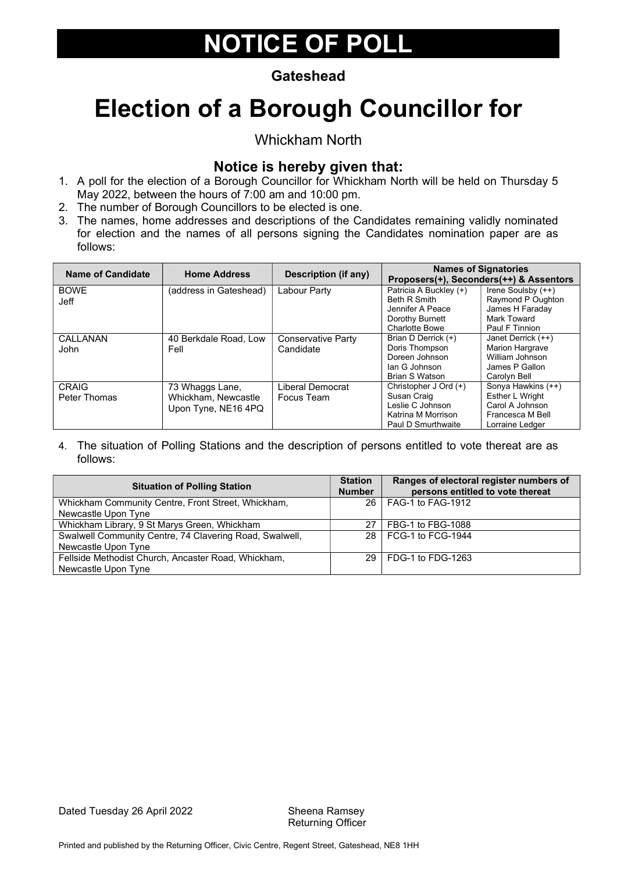#### **Gateshead**

# Election of a Borough Councillor for

Whickham North

#### Notice is hereby given that:

- 1. A poll for the election of a Borough Councillor for Whickham North will be held on Thursday 5 May 2022, between the hours of 7:00 am and 10:00 pm.
- 2. The number of Borough Councillors to be elected is one.
- 3. The names, home addresses and descriptions of the Candidates remaining validly nominated for election and the names of all persons signing the Candidates nomination paper are as follows:

| Name of Candidate            | <b>Home Address</b>                                           | Description (if any)                   |                                                                                                      | <b>Names of Signatories</b><br>Proposers(+), Seconders(++) & Assentors                            |
|------------------------------|---------------------------------------------------------------|----------------------------------------|------------------------------------------------------------------------------------------------------|---------------------------------------------------------------------------------------------------|
| <b>BOWE</b><br><b>Jeff</b>   | (address in Gateshead)                                        | Labour Party                           | Patricia A Buckley (+)<br>Beth R Smith<br>Jennifer A Peace<br>Dorothy Burnett                        | Irene Soulsby (++)<br>Raymond P Oughton<br>James H Faraday<br>Mark Toward                         |
|                              |                                                               |                                        | <b>Charlotte Bowe</b>                                                                                | Paul F Tinnion                                                                                    |
| CALLANAN<br>John             | 40 Berkdale Road, Low<br>Fell                                 | <b>Conservative Party</b><br>Candidate | Brian D Derrick (+)<br>Doris Thompson<br>Doreen Johnson<br>lan G Johnson<br>Brian S Watson           | Janet Derrick (++)<br><b>Marion Hargrave</b><br>William Johnson<br>James P Gallon<br>Carolyn Bell |
| <b>CRAIG</b><br>Peter Thomas | 73 Whaggs Lane,<br>Whickham, Newcastle<br>Upon Tyne, NE16 4PQ | Liberal Democrat<br>Focus Team         | Christopher J Ord (+)<br>Susan Craig<br>Leslie C Johnson<br>Katrina M Morrison<br>Paul D Smurthwaite | Sonya Hawkins (++)<br>Esther L Wright<br>Carol A Johnson<br>Francesca M Bell<br>Lorraine Ledger   |

| <b>Situation of Polling Station</b>                     | <b>Station</b><br><b>Number</b> | Ranges of electoral register numbers of<br>persons entitled to vote thereat |
|---------------------------------------------------------|---------------------------------|-----------------------------------------------------------------------------|
| Whickham Community Centre, Front Street, Whickham,      |                                 | 26   FAG-1 to FAG-1912                                                      |
| Newcastle Upon Tyne                                     |                                 |                                                                             |
| Whickham Library, 9 St Marys Green, Whickham            | 27                              | FBG-1 to FBG-1088                                                           |
| Swalwell Community Centre, 74 Clavering Road, Swalwell, |                                 | 28   FCG-1 to FCG-1944                                                      |
| Newcastle Upon Tyne                                     |                                 |                                                                             |
| Fellside Methodist Church, Ancaster Road, Whickham,     | 29 L                            | FDG-1 to FDG-1263                                                           |
| Newcastle Upon Tyne                                     |                                 |                                                                             |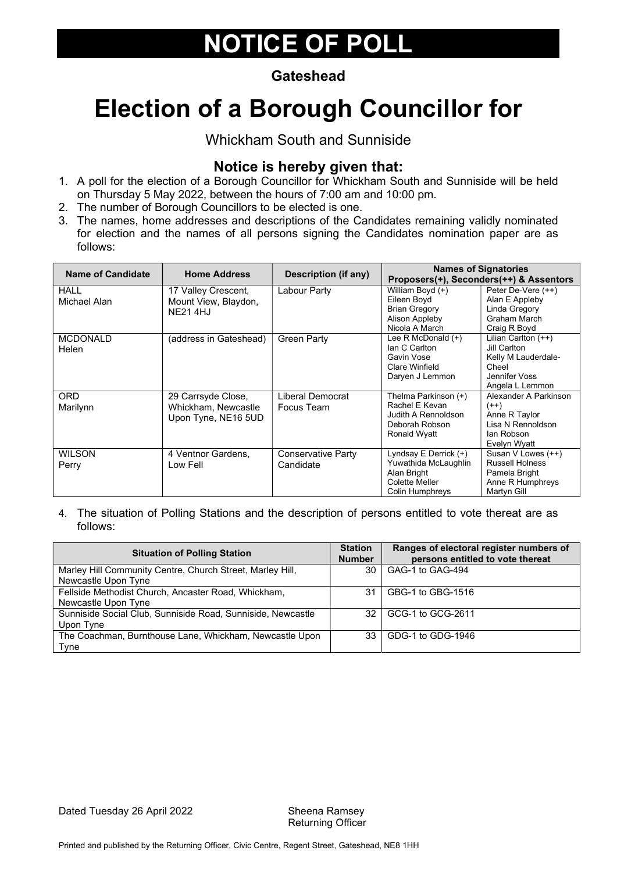#### **Gateshead**

# Election of a Borough Councillor for

Whickham South and Sunniside

### Notice is hereby given that:

- 1. A poll for the election of a Borough Councillor for Whickham South and Sunniside will be held on Thursday 5 May 2022, between the hours of 7:00 am and 10:00 pm.
- 2. The number of Borough Councillors to be elected is one.
- 3. The names, home addresses and descriptions of the Candidates remaining validly nominated for election and the names of all persons signing the Candidates nomination paper are as follows:

| <b>Name of Candidate</b>    | <b>Home Address</b>                                              | <b>Description (if any)</b>     |                                                                                                       | <b>Names of Signatories</b><br>Proposers(+), Seconders(++) & Assentors                                    |
|-----------------------------|------------------------------------------------------------------|---------------------------------|-------------------------------------------------------------------------------------------------------|-----------------------------------------------------------------------------------------------------------|
| <b>HALL</b><br>Michael Alan | 17 Valley Crescent,<br>Mount View, Blaydon,<br><b>NE21 4HJ</b>   | Labour Party                    | William Boyd (+)<br>Eileen Boyd<br><b>Brian Gregory</b><br>Alison Appleby<br>Nicola A March           | Peter De-Vere (++)<br>Alan E Appleby<br>Linda Gregory<br>Graham March<br>Craig R Boyd                     |
| <b>MCDONALD</b><br>Helen    | (address in Gateshead)                                           | <b>Green Party</b>              | Lee R McDonald (+)<br>Ian C Carlton<br>Gavin Vose<br>Clare Winfield<br>Daryen J Lemmon                | Lilian Carlton $(++)$<br>Jill Carlton<br>Kelly M Lauderdale-<br>Cheel<br>Jennifer Voss<br>Angela L Lemmon |
| <b>ORD</b><br>Marilynn      | 29 Carrsyde Close,<br>Whickham, Newcastle<br>Upon Tyne, NE16 5UD | Liberal Democrat<br>Focus Team  | Thelma Parkinson (+)<br>Rachel E Kevan<br>Judith A Rennoldson<br>Deborah Robson<br>Ronald Wyatt       | Alexander A Parkinson<br>$(++)$<br>Anne R Taylor<br>Lisa N Rennoldson<br>lan Robson<br>Evelyn Wyatt       |
| <b>WILSON</b><br>Perry      | 4 Ventnor Gardens,<br>Low Fell                                   | Conservative Party<br>Candidate | Lyndsay $E$ Derrick $(+)$<br>Yuwathida McLaughlin<br>Alan Bright<br>Colette Meller<br>Colin Humphreys | Susan V Lowes (++)<br><b>Russell Holness</b><br>Pamela Bright<br>Anne R Humphreys<br>Martyn Gill          |

| <b>Situation of Polling Station</b>                         | <b>Station</b><br><b>Number</b> | Ranges of electoral register numbers of<br>persons entitled to vote thereat |
|-------------------------------------------------------------|---------------------------------|-----------------------------------------------------------------------------|
| Marley Hill Community Centre, Church Street, Marley Hill,   | 30                              | GAG-1 to GAG-494                                                            |
| Newcastle Upon Tyne                                         |                                 |                                                                             |
| Fellside Methodist Church, Ancaster Road, Whickham,         | 31                              | GBG-1 to GBG-1516                                                           |
| Newcastle Upon Tyne                                         |                                 |                                                                             |
| Sunniside Social Club, Sunniside Road, Sunniside, Newcastle | 32.                             | GCG-1 to GCG-2611                                                           |
| Upon Tyne                                                   |                                 |                                                                             |
| The Coachman, Burnthouse Lane, Whickham, Newcastle Upon     | 33                              | GDG-1 to GDG-1946                                                           |
| Tvne                                                        |                                 |                                                                             |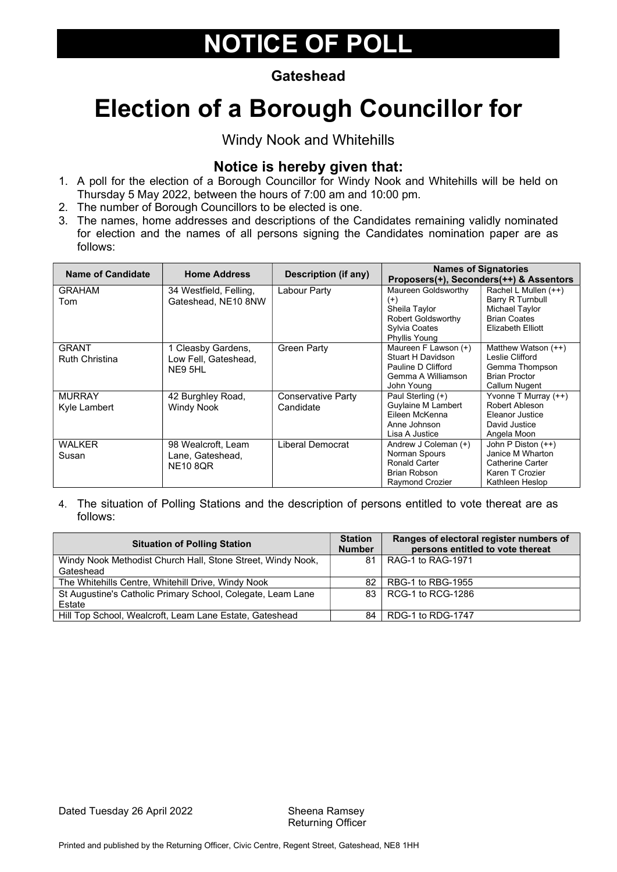#### **Gateshead**

# Election of a Borough Councillor for

Windy Nook and Whitehills

#### Notice is hereby given that:

- 1. A poll for the election of a Borough Councillor for Windy Nook and Whitehills will be held on Thursday 5 May 2022, between the hours of 7:00 am and 10:00 pm.
- 2. The number of Borough Councillors to be elected is one.
- 3. The names, home addresses and descriptions of the Candidates remaining validly nominated for election and the names of all persons signing the Candidates nomination paper are as follows:

| <b>Name of Candidate</b> | <b>Home Address</b>    | <b>Description (if any)</b> |                           | <b>Names of Signatories</b><br>Proposers(+), Seconders(++) & Assentors |
|--------------------------|------------------------|-----------------------------|---------------------------|------------------------------------------------------------------------|
| <b>GRAHAM</b>            | 34 Westfield, Felling, | Labour Party                | Maureen Goldsworthy       | Rachel L Mullen (++)                                                   |
| Tom                      | Gateshead, NE10 8NW    |                             | $^{(+)}$                  | Barry R Turnbull                                                       |
|                          |                        |                             | Sheila Taylor             | Michael Taylor                                                         |
|                          |                        |                             | <b>Robert Goldsworthy</b> | <b>Brian Coates</b>                                                    |
|                          |                        |                             | Sylvia Coates             | Elizabeth Elliott                                                      |
|                          |                        |                             | Phyllis Young             |                                                                        |
| <b>GRANT</b>             | 1 Cleasby Gardens,     | <b>Green Party</b>          | Maureen F Lawson (+)      | Matthew Watson (++)                                                    |
| <b>Ruth Christina</b>    | Low Fell, Gateshead,   |                             | Stuart H Davidson         | Leslie Clifford                                                        |
|                          | NE9 5HL                |                             | Pauline D Clifford        | Gemma Thompson                                                         |
|                          |                        |                             | Gemma A Williamson        | <b>Brian Proctor</b>                                                   |
|                          |                        |                             | John Young                | Callum Nugent                                                          |
| <b>MURRAY</b>            | 42 Burghley Road,      | Conservative Party          | Paul Sterling (+)         | Yvonne T Murray $(++)$                                                 |
| Kyle Lambert             | <b>Windy Nook</b>      | Candidate                   | <b>Guylaine M Lambert</b> | Robert Ableson                                                         |
|                          |                        |                             | Fileen McKenna            | Eleanor Justice                                                        |
|                          |                        |                             | Anne Johnson              | David Justice                                                          |
|                          |                        |                             | Lisa A Justice            | Angela Moon                                                            |
| <b>WALKER</b>            | 98 Wealcroft, Leam     | Liberal Democrat            | Andrew J Coleman (+)      | John P Diston (++)                                                     |
| Susan                    | Lane, Gateshead,       |                             | Norman Spours             | Janice M Wharton                                                       |
|                          | <b>NE10 8QR</b>        |                             | <b>Ronald Carter</b>      | <b>Catherine Carter</b>                                                |
|                          |                        |                             | <b>Brian Robson</b>       | Karen T Crozier                                                        |
|                          |                        |                             | Raymond Crozier           | Kathleen Heslop                                                        |

| <b>Situation of Polling Station</b>                         | <b>Station</b><br><b>Number</b> | Ranges of electoral register numbers of<br>persons entitled to vote thereat |
|-------------------------------------------------------------|---------------------------------|-----------------------------------------------------------------------------|
| Windy Nook Methodist Church Hall, Stone Street, Windy Nook, | 81                              | RAG-1 to RAG-1971                                                           |
| Gateshead                                                   |                                 |                                                                             |
| The Whitehills Centre, Whitehill Drive, Windy Nook          | 82                              | RBG-1 to RBG-1955                                                           |
| St Augustine's Catholic Primary School, Colegate, Leam Lane |                                 | 83   RCG-1 to RCG-1286                                                      |
| Estate                                                      |                                 |                                                                             |
| Hill Top School, Wealcroft, Leam Lane Estate, Gateshead     | 84                              | RDG-1 to RDG-1747                                                           |